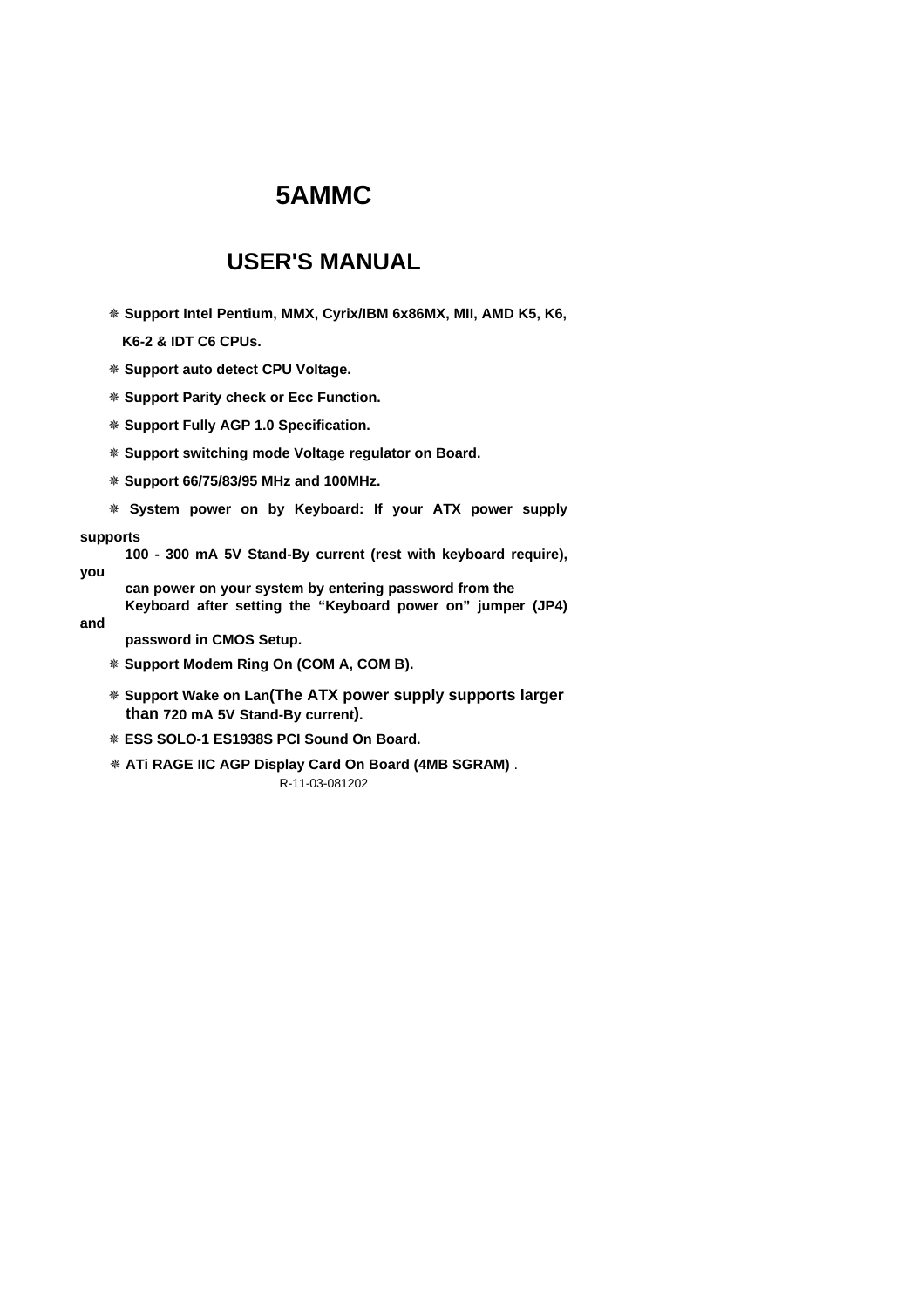## **USER'S MANUAL**

Ø **Support Intel Pentium, MMX, Cyrix/IBM 6x86MX, MII, AMD K5, K6,**

**K6-2 & IDT C6 CPUs.**

- Ø **Support auto detect CPU Voltage.**
- Ø **Support Parity check or Ecc Function.**
- Ø **Support Fully AGP 1.0 Specification.**
- Ø **Support switching mode Voltage regulator on Board.**
- Ø **Support 66/75/83/95 MHz and 100MHz.**
- Ø **System power on by Keyboard: If your ATX power supply**

#### **supports**

- **100 300 mA 5V Stand-By current (rest with keyboard require),**
- **you**
	- **can power on your system by entering password from the Keyboard after setting the "Keyboard power on" jumper (JP4)**
- **and**
- **password in CMOS Setup.**
- Ø **Support Modem Ring On (COM A, COM B).**
- Ø **Support Wake on Lan(The ATX power supply supports larger than 720 mA 5V Stand-By current).**
- Ø **ESS SOLO-1 ES1938S PCI Sound On Board.**
- R-11-03-081202 Ø **ATi RAGE IIC AGP Display Card On Board (4MB SGRAM)** .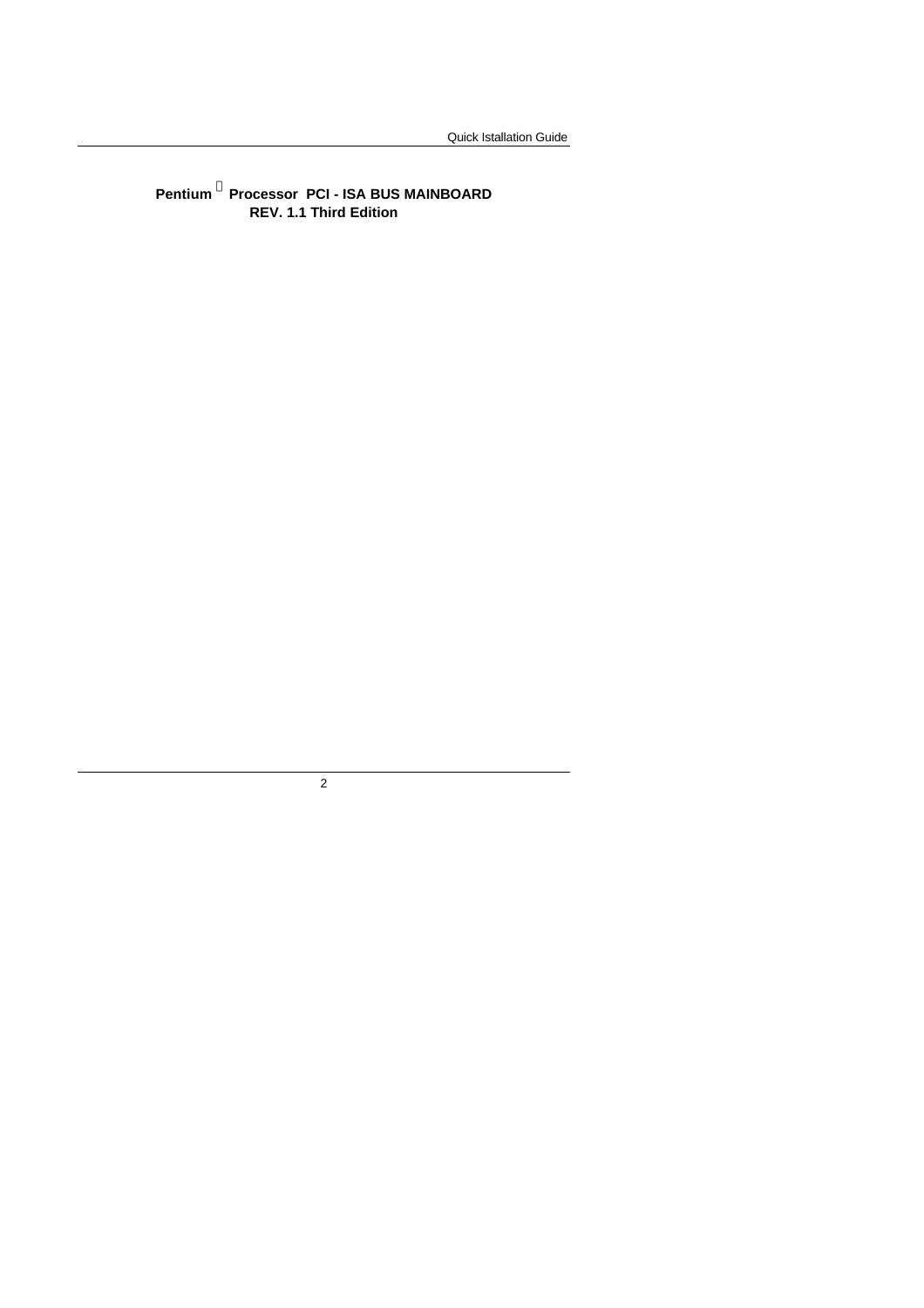**Pentium <sup>â</sup> Processor PCI - ISA BUS MAINBOARD REV. 1.1 Third Edition**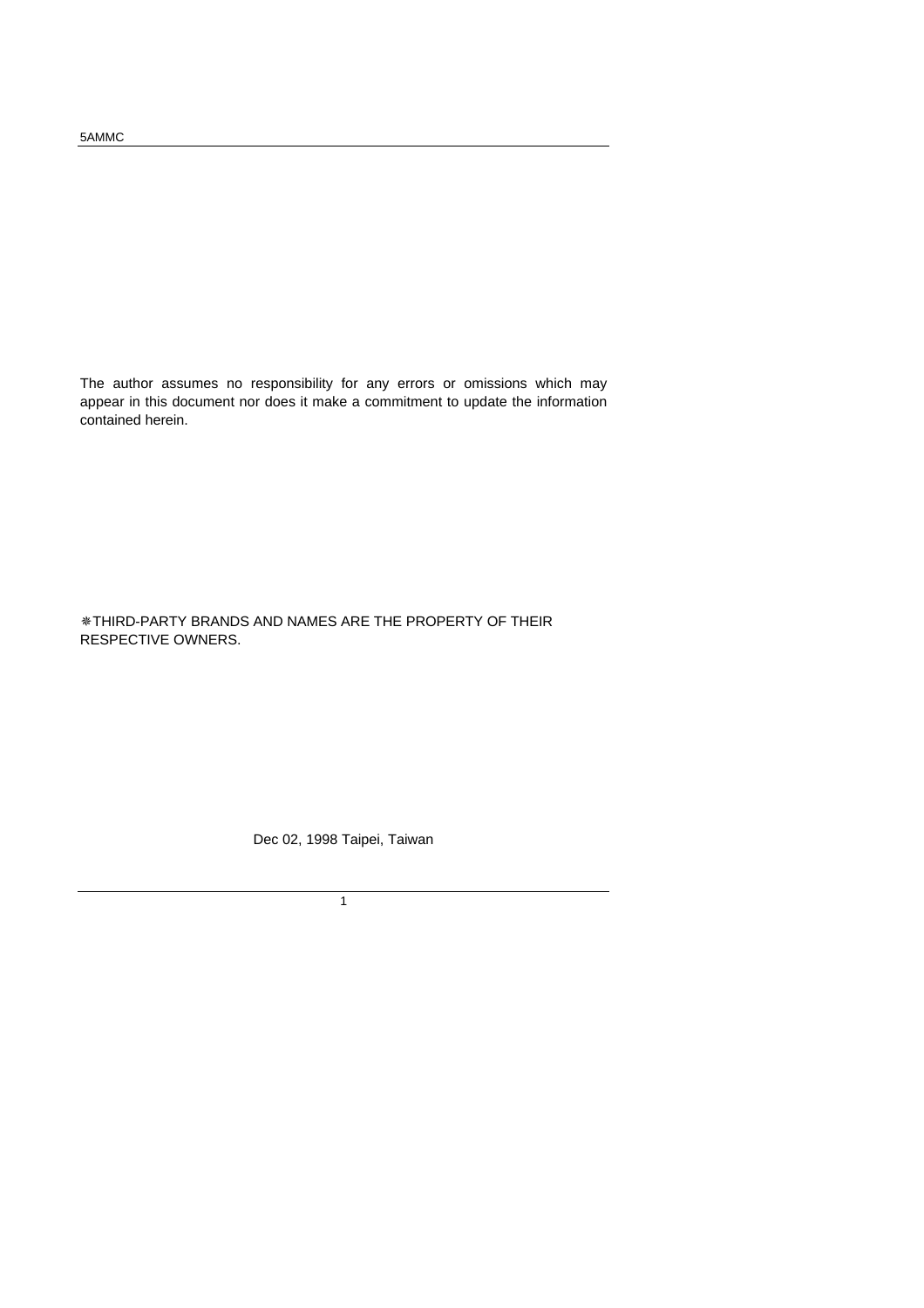The author assumes no responsibility for any errors or omissions which may appear in this document nor does it make a commitment to update the information contained herein.

ØTHIRD-PARTY BRANDS AND NAMES ARE THE PROPERTY OF THEIR RESPECTIVE OWNERS.

Dec 02, 1998 Taipei, Taiwan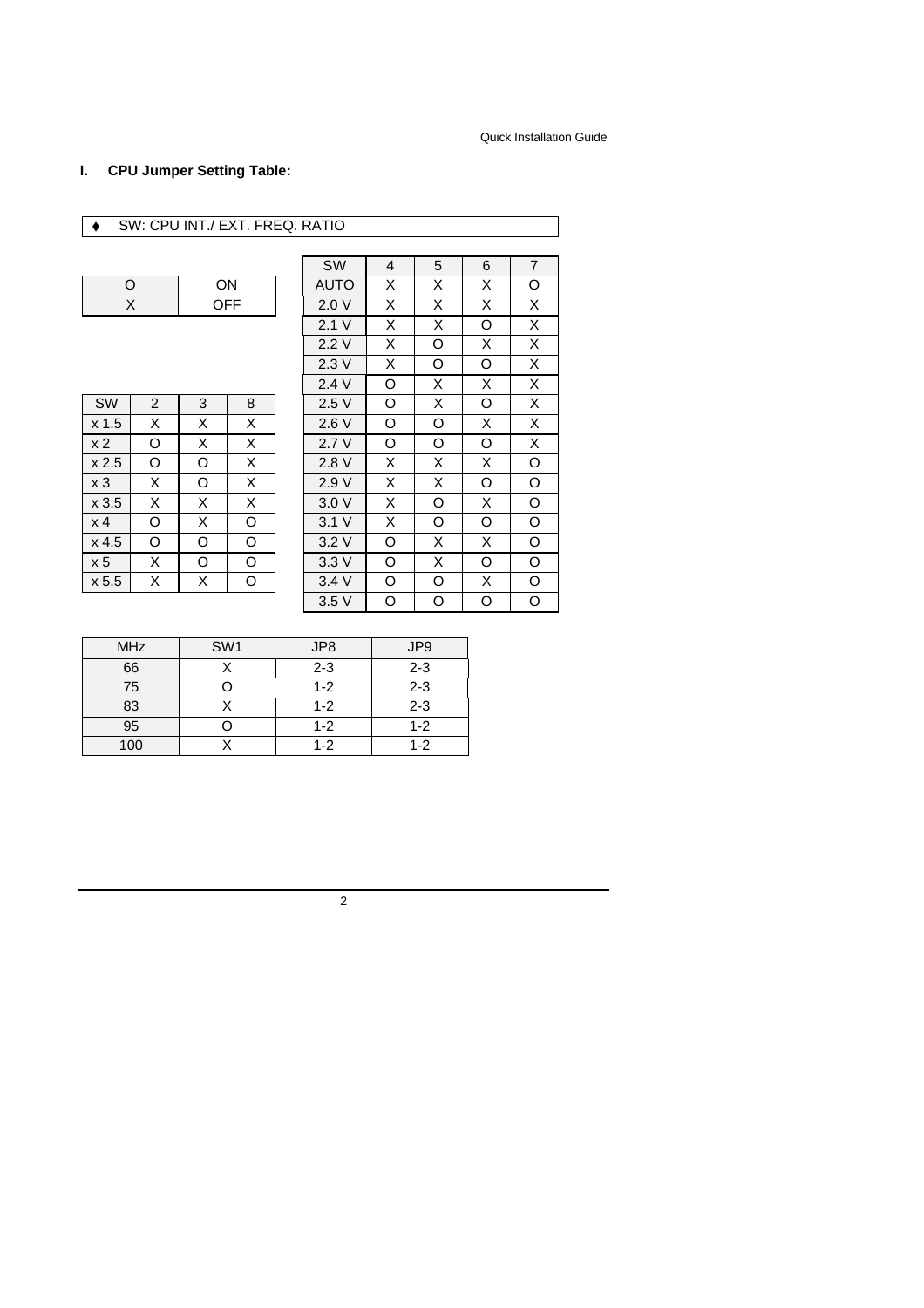### **I. CPU Jumper Setting Table:**

### ◆ SW: CPU INT./ EXT. FREQ. RATIO

| ON  |
|-----|
| OFF |

| SW               | 2 | 3 | 8 |
|------------------|---|---|---|
| x <sub>1.5</sub> | Χ | X | Χ |
| x <sub>2</sub>   | O | X | X |
| x <sub>2.5</sub> | O | O | X |
| x <sub>3</sub>   | Χ | O | X |
| x3.5             | Χ | X | X |
| x <sub>4</sub>   | O | X | O |
| $x$ 4.5          | O | O | O |
| x 5              | Χ | O | O |
| x 5.5            | x | x |   |

|       |   |    |     | SW          | 4 | 5 | 6 | $\overline{7}$ |
|-------|---|----|-----|-------------|---|---|---|----------------|
| O     |   | ON |     | <b>AUTO</b> | X | X | X | O              |
|       | X |    | OFF | 2.0V        | X | X | X | X              |
|       |   |    |     | 2.1V        | X | X | O | X              |
|       |   |    |     | 2.2V        | X | O | X | X              |
|       |   |    |     | 2.3V        | X | O | O | X              |
|       |   |    |     | 2.4V        | O | X | X | X              |
| SW    | 2 | 3  | 8   | 2.5V        | O | X | O | X              |
| x 1.5 | X | X  | X   | 2.6V        | O | O | X | X              |
| x 2   | O | X  | X   | 2.7V        | O | O | O | X              |
| x 2.5 | O | O  | X   | 2.8 V       | X | X | X | O              |
| x 3   | X | O  | X   | 2.9V        | X | X | O | O              |
| x 3.5 | X | X  | X   | 3.0V        | X | O | X | O              |
| x 4   | O | X  | O   | 3.1V        | X | O | O | O              |
| x 4.5 | O | O  | O   | 3.2V        | O | X | X | O              |
| x 5   | X | O  | O   | 3.3V        | O | X | O | O              |
| x 5.5 | X | Χ  | O   | 3.4V        | O | O | X | O              |
|       |   |    |     | 3.5V        | O | O | O | O              |
|       |   |    |     |             |   |   |   |                |

| <b>MHz</b> | SW <sub>1</sub> | JP8     | JP <sub>9</sub> |
|------------|-----------------|---------|-----------------|
| 66         |                 | $2 - 3$ | $2 - 3$         |
| 75         |                 | $1 - 2$ | $2 - 3$         |
| 83         |                 | $1 - 2$ | $2 - 3$         |
| 95         |                 | $1 - 2$ | $1 - 2$         |
| 100        |                 | $1 - 2$ | $1 - 2$         |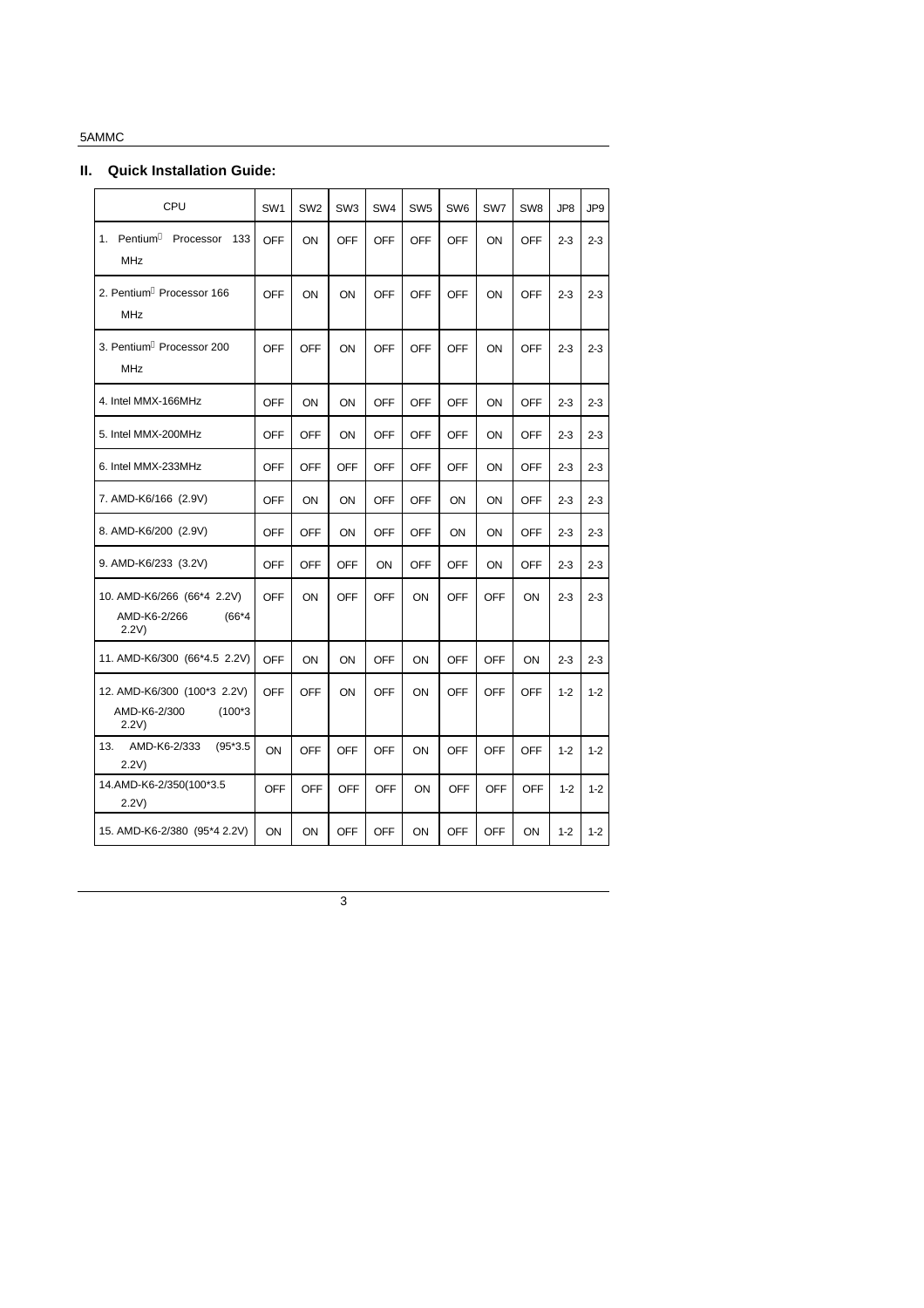### **II. Quick Installation Guide:**

| CPU                                                              | SW <sub>1</sub> | SW <sub>2</sub> | SW <sub>3</sub> | SW <sub>4</sub> | SW <sub>5</sub> | SW <sub>6</sub> | SW7        | SW <sub>8</sub> | JP8     | JP9     |
|------------------------------------------------------------------|-----------------|-----------------|-----------------|-----------------|-----------------|-----------------|------------|-----------------|---------|---------|
| 1. Pentium <sup>a</sup> Processor<br>133<br><b>MHz</b>           | OFF             | ON              | OFF             | OFF             | OFF             | <b>OFF</b>      | ON         | <b>OFF</b>      | $2 - 3$ | $2 - 3$ |
| 2. Pentium <sup>a</sup> Processor 166<br><b>MHz</b>              | <b>OFF</b>      | ON              | ON              | <b>OFF</b>      | <b>OFF</b>      | <b>OFF</b>      | ON         | <b>OFF</b>      | $2 - 3$ | $2 - 3$ |
| 3. Pentium <sup>a</sup> Processor 200<br><b>MHz</b>              | <b>OFF</b>      | <b>OFF</b>      | ON              | <b>OFF</b>      | <b>OFF</b>      | <b>OFF</b>      | ON         | <b>OFF</b>      | $2 - 3$ | $2 - 3$ |
| 4. Intel MMX-166MHz                                              | <b>OFF</b>      | ON              | ON              | <b>OFF</b>      | <b>OFF</b>      | <b>OFF</b>      | ON         | <b>OFF</b>      | $2 - 3$ | $2 - 3$ |
| 5. Intel MMX-200MHz                                              | <b>OFF</b>      | <b>OFF</b>      | ON              | <b>OFF</b>      | <b>OFF</b>      | <b>OFF</b>      | ON         | <b>OFF</b>      | $2 - 3$ | $2 - 3$ |
| 6. Intel MMX-233MHz                                              | <b>OFF</b>      | OFF             | <b>OFF</b>      | <b>OFF</b>      | OFF             | <b>OFF</b>      | ON         | <b>OFF</b>      | $2 - 3$ | $2 - 3$ |
| 7. AMD-K6/166 (2.9V)                                             | OFF             | ON              | ON              | <b>OFF</b>      | OFF             | ON              | ON         | <b>OFF</b>      | $2 - 3$ | $2 - 3$ |
| 8. AMD-K6/200 (2.9V)                                             | <b>OFF</b>      | OFF             | ON              | OFF             | OFF             | ON              | ON         | <b>OFF</b>      | $2 - 3$ | $2 - 3$ |
| 9. AMD-K6/233 (3.2V)                                             | <b>OFF</b>      | <b>OFF</b>      | <b>OFF</b>      | ON              | <b>OFF</b>      | <b>OFF</b>      | ON         | <b>OFF</b>      | $2 - 3$ | $2 - 3$ |
| 10. AMD-K6/266 (66*4 2.2V)<br>AMD-K6-2/266<br>$(66*4)$<br>2.2V)  | <b>OFF</b>      | ON              | <b>OFF</b>      | OFF             | ON              | OFF             | OFF        | ON              | $2 - 3$ | $2 - 3$ |
| 11. AMD-K6/300 (66*4.5 2.2V)                                     | <b>OFF</b>      | ON              | ON              | <b>OFF</b>      | ON              | <b>OFF</b>      | <b>OFF</b> | ON              | $2 - 3$ | $2 - 3$ |
| 12. AMD-K6/300 (100*3 2.2V)<br>AMD-K6-2/300<br>$(100*3)$<br>2.2V | OFF             | <b>OFF</b>      | ON              | <b>OFF</b>      | ON              | <b>OFF</b>      | OFF        | <b>OFF</b>      | $1 - 2$ | $1 - 2$ |
| AMD-K6-2/333<br>13.<br>$(95*3.5)$<br>2.2V                        | ON              | <b>OFF</b>      | <b>OFF</b>      | <b>OFF</b>      | ON              | <b>OFF</b>      | <b>OFF</b> | <b>OFF</b>      | $1 - 2$ | $1 - 2$ |
| 14.AMD-K6-2/350(100*3.5<br>2.2V)                                 | <b>OFF</b>      | OFF             | <b>OFF</b>      | <b>OFF</b>      | ON.             | <b>OFF</b>      | <b>OFF</b> | <b>OFF</b>      | $1-2$   | $1 - 2$ |
| 15. AMD-K6-2/380 (95*4 2.2V)                                     | ON              | ON              | <b>OFF</b>      | <b>OFF</b>      | ON              | <b>OFF</b>      | <b>OFF</b> | ON              | $1 - 2$ | $1 - 2$ |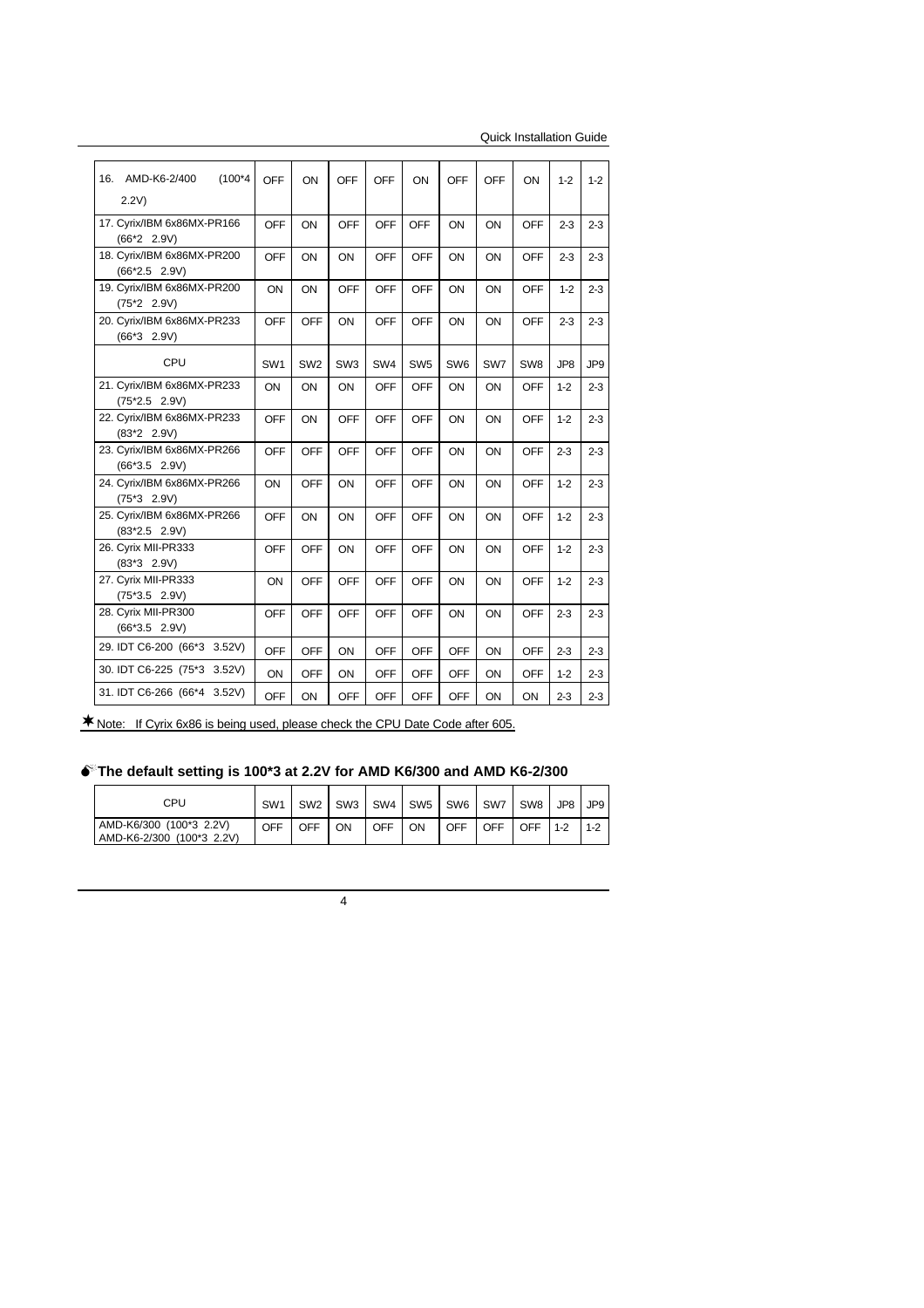| $(100*4)$<br>16.<br>AMD-K6-2/400<br>2.2V      | <b>OFF</b>      | ON              | OFF             | <b>OFF</b> | ON              | <b>OFF</b>      | OFF | ON              | $1 - 2$ | $1 - 2$         |
|-----------------------------------------------|-----------------|-----------------|-----------------|------------|-----------------|-----------------|-----|-----------------|---------|-----------------|
| 17. Cyrix/IBM 6x86MX-PR166<br>$(66*2 2.9V)$   | <b>OFF</b>      | ON              | <b>OFF</b>      | <b>OFF</b> | OFF             | ON              | ON  | <b>OFF</b>      | $2 - 3$ | $2 - 3$         |
| 18. Cyrix/IBM 6x86MX-PR200<br>$(66*2.5 2.9V)$ | <b>OFF</b>      | ON              | ON              | <b>OFF</b> | <b>OFF</b>      | ON              | ON  | <b>OFF</b>      | $2 - 3$ | $2 - 3$         |
| 19. Cyrix/IBM 6x86MX-PR200<br>$(75*2 2.9V)$   | ON              | ON              | <b>OFF</b>      | <b>OFF</b> | <b>OFF</b>      | ON              | ON  | <b>OFF</b>      | $1 - 2$ | $2 - 3$         |
| 20. Cyrix/IBM 6x86MX-PR233<br>$(66*3 2.9V)$   | <b>OFF</b>      | <b>OFF</b>      | ON              | <b>OFF</b> | <b>OFF</b>      | ON              | ON  | <b>OFF</b>      | $2 - 3$ | $2 - 3$         |
| CPU                                           | SW <sub>1</sub> | SW <sub>2</sub> | SW <sub>3</sub> | SW4        | SW <sub>5</sub> | SW <sub>6</sub> | SW7 | SW <sub>8</sub> | JP8     | JP <sub>9</sub> |
| 21. Cyrix/IBM 6x86MX-PR233<br>$(75*2.5 2.9V)$ | ON              | ON              | ON              | <b>OFF</b> | OFF             | ON              | ON  | OFF             | $1 - 2$ | $2 - 3$         |
| 22. Cyrix/IBM 6x86MX-PR233<br>$(83*2 2.9V)$   | <b>OFF</b>      | ON              | <b>OFF</b>      | <b>OFF</b> | <b>OFF</b>      | ON              | ON  | <b>OFF</b>      | $1 - 2$ | $2 - 3$         |
| 23. Cyrix/IBM 6x86MX-PR266<br>$(66*3.5 2.9V)$ | <b>OFF</b>      | <b>OFF</b>      | <b>OFF</b>      | <b>OFF</b> | <b>OFF</b>      | ON              | ON  | <b>OFF</b>      | $2 - 3$ | $2 - 3$         |
| 24. Cyrix/IBM 6x86MX-PR266<br>$(75*3 2.9V)$   | ON              | <b>OFF</b>      | ON              | <b>OFF</b> | <b>OFF</b>      | ON              | ON  | <b>OFF</b>      | $1 - 2$ | $2 - 3$         |
| 25. Cyrix/IBM 6x86MX-PR266<br>$(83*2.5 2.9V)$ | <b>OFF</b>      | ON              | ON              | <b>OFF</b> | <b>OFF</b>      | ON              | ON  | <b>OFF</b>      | $1 - 2$ | $2 - 3$         |
| 26. Cyrix MII-PR333<br>$(83*3 2.9V)$          | <b>OFF</b>      | <b>OFF</b>      | ON              | <b>OFF</b> | OFF             | ON              | ON  | OFF             | $1 - 2$ | $2 - 3$         |
| 27. Cyrix MII-PR333<br>$(75*3.5 2.9V)$        | ON              | <b>OFF</b>      | <b>OFF</b>      | <b>OFF</b> | <b>OFF</b>      | ON              | ON  | <b>OFF</b>      | $1 - 2$ | $2 - 3$         |
| 28. Cyrix MII-PR300<br>$(66*3.5 2.9V)$        | <b>OFF</b>      | <b>OFF</b>      | <b>OFF</b>      | <b>OFF</b> | <b>OFF</b>      | ON              | ON  | <b>OFF</b>      | $2 - 3$ | $2 - 3$         |
| 29. IDT C6-200 (66*3 3.52V)                   | <b>OFF</b>      | OFF             | ON              | <b>OFF</b> | <b>OFF</b>      | <b>OFF</b>      | ON  | <b>OFF</b>      | $2 - 3$ | $2 - 3$         |
| 30. IDT C6-225 (75*3 3.52V)                   | ON              | <b>OFF</b>      | ON              | <b>OFF</b> | <b>OFF</b>      | <b>OFF</b>      | ON  | <b>OFF</b>      | $1 - 2$ | $2 - 3$         |
| 31. IDT C6-266 (66*4 3.52V)                   | <b>OFF</b>      | ON              | <b>OFF</b>      | <b>OFF</b> | <b>OFF</b>      | <b>OFF</b>      | ON  | ON              | $2 - 3$ | $2 - 3$         |

¨Note: If Cyrix 6x86 is being used, please check the CPU Date Code after 605.

### M**The default setting is 100\*3 at 2.2V for AMD K6/300 and AMD K6-2/300**

| CPU                                                  | SW <sub>1</sub> | SW <sub>2</sub> | SW <sub>3</sub> | SW4 I      | SW5 I | SW6 | SW7        | SW8 | JP8 JP9 |         |
|------------------------------------------------------|-----------------|-----------------|-----------------|------------|-------|-----|------------|-----|---------|---------|
| AMD-K6/300 (100*3 2.2V)<br>AMD-K6-2/300 (100*3 2.2V) | OFF             | OFF             | OΝ              | <b>OFF</b> | OΝ    | OFF | <b>OFF</b> | OFF | $11-2$  | $1 - 2$ |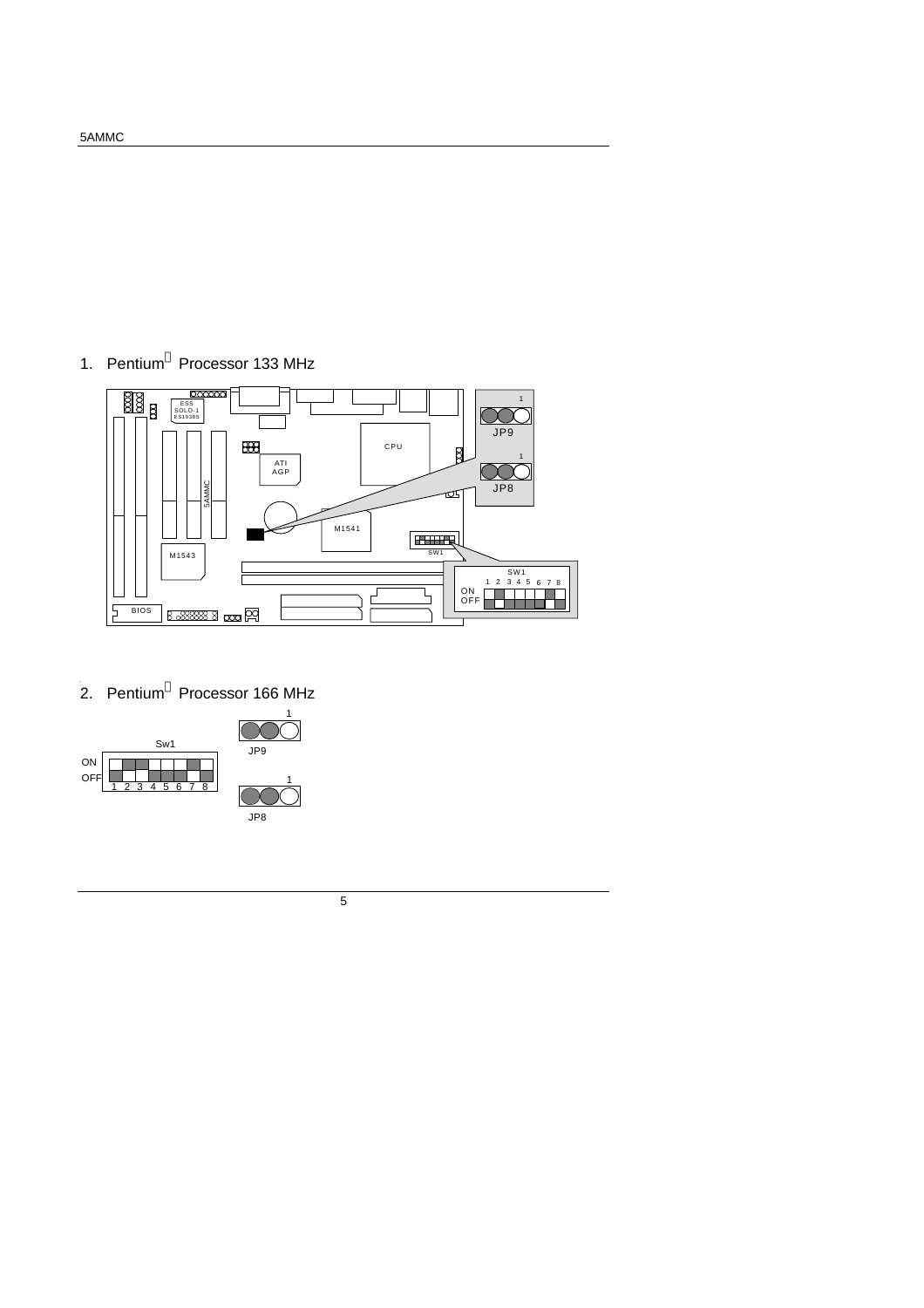

**0** 2. Pentium**<sup>â</sup>** Processor 166 MHz



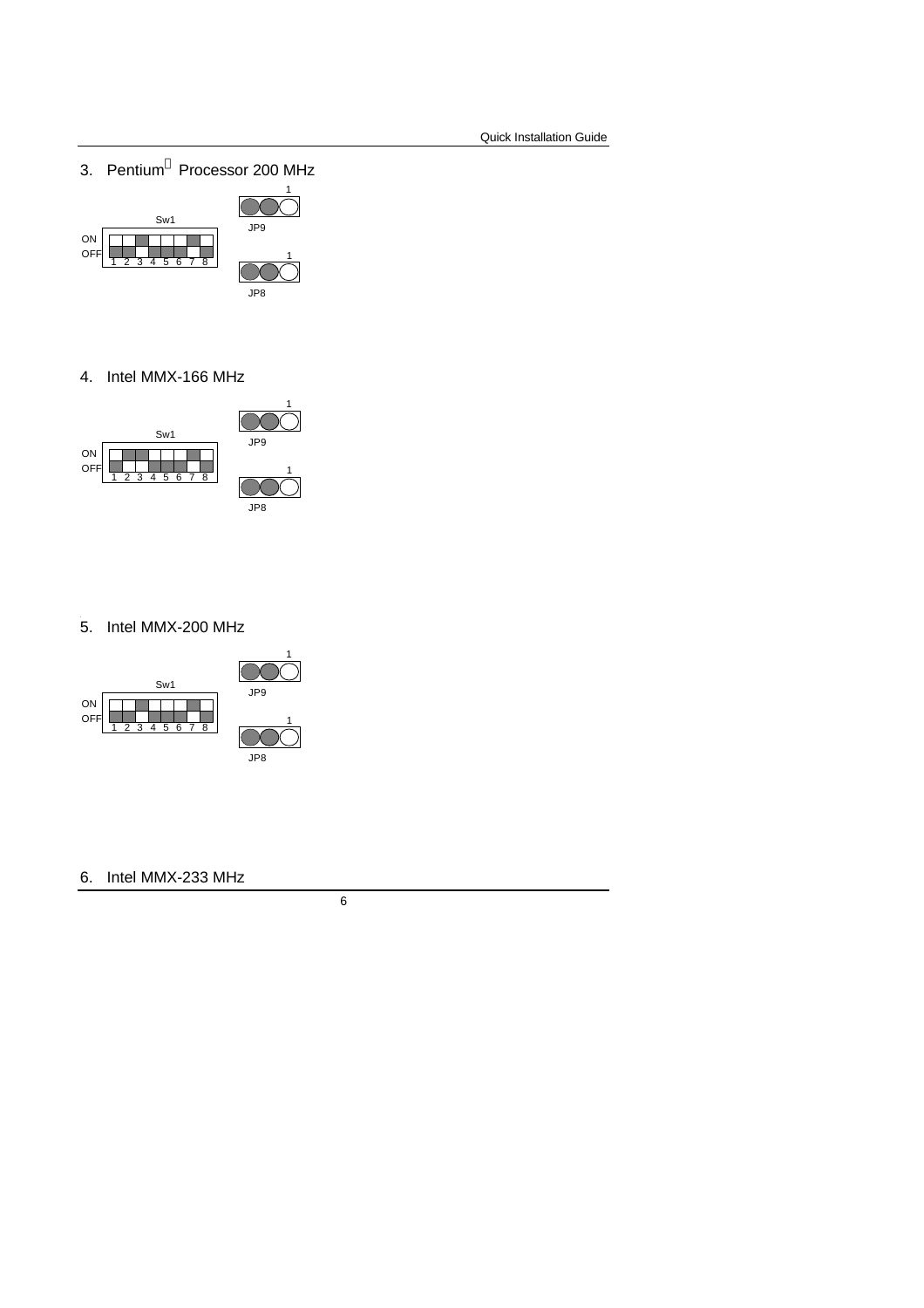3. Pentium**<sup>â</sup>** Processor 200 MHz



4. Intel MMX-166 MHz



### **1** 5. Intel MMX-200 MHz



6. Intel MMX-233 MHz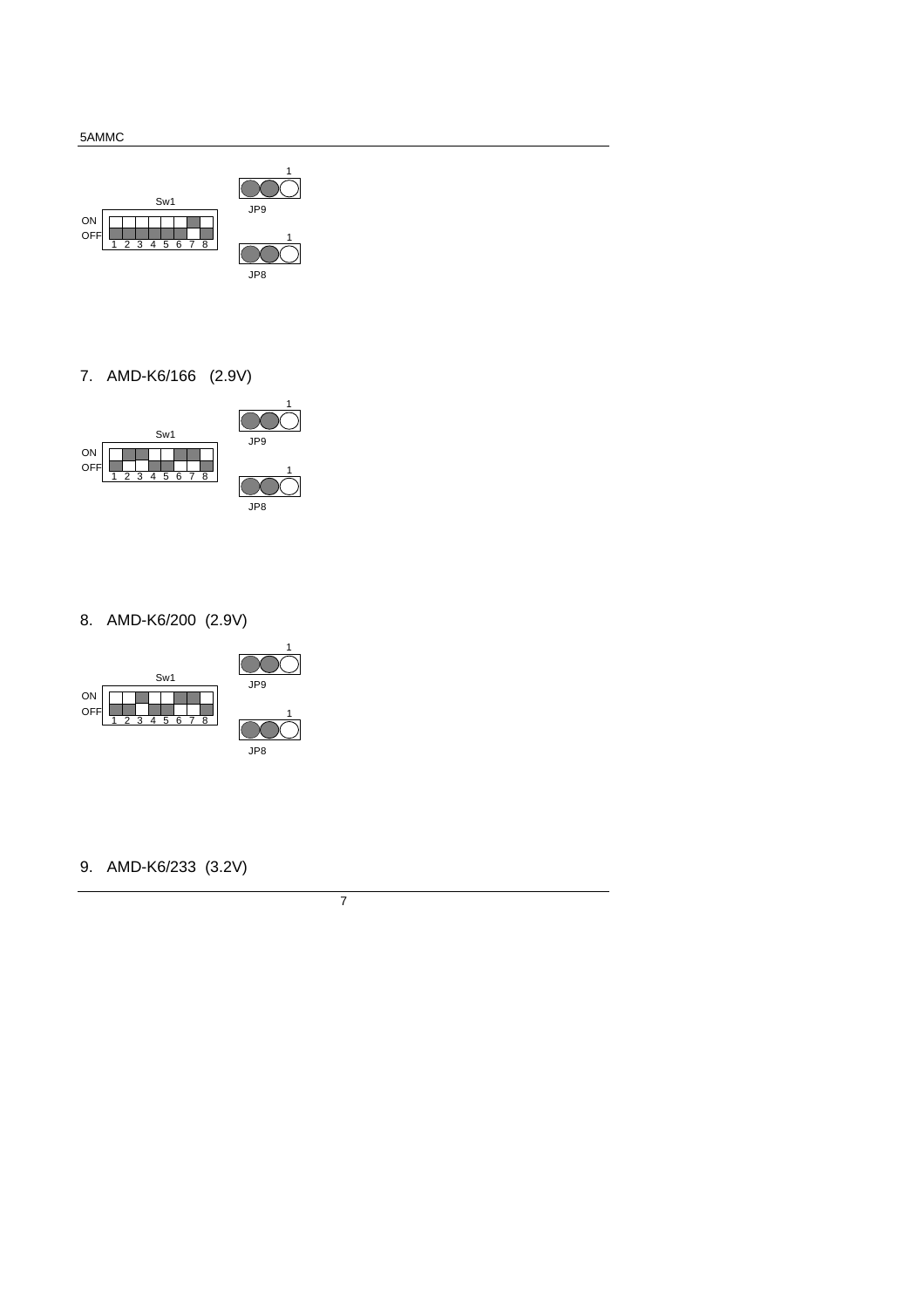

7. AMD-K6/166 (2.9V)



8. AMD-K6/200 (2.9V)



9. AMD-K6/233 (3.2V)

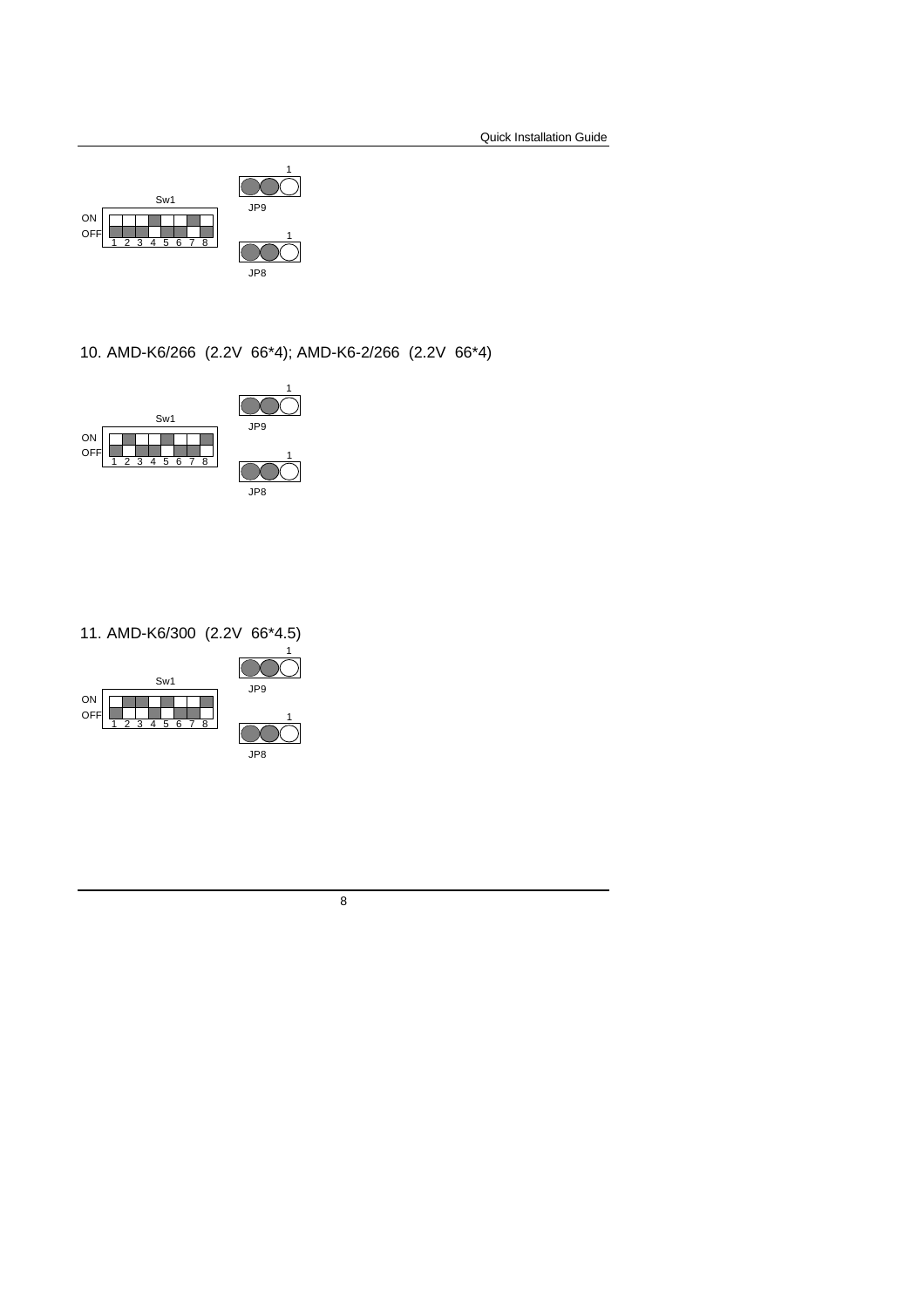

10. AMD-K6/266 (2.2V 66\*4); AMD-K6-2/266 (2.2V 66\*4)



11. AMD-K6/300 (2.2V 66\*4.5)

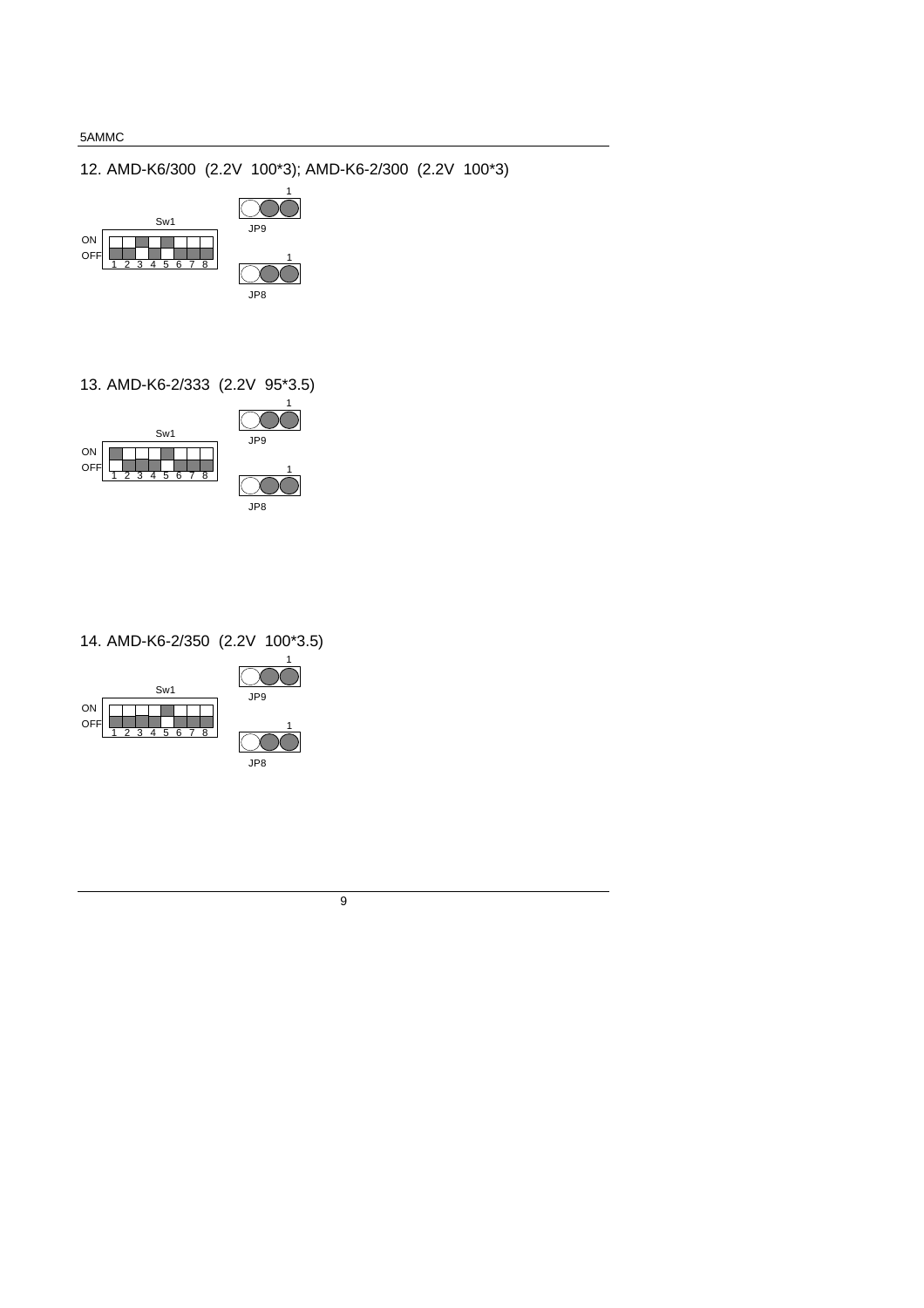12. AMD-K6/300 (2.2V 100\*3); AMD-K6-2/300 (2.2V 100\*3)



13. AMD-K6-2/333 (2.2V 95\*3.5)



### 14. AMD-K6-2/350 (2.2V 100\*3.5)

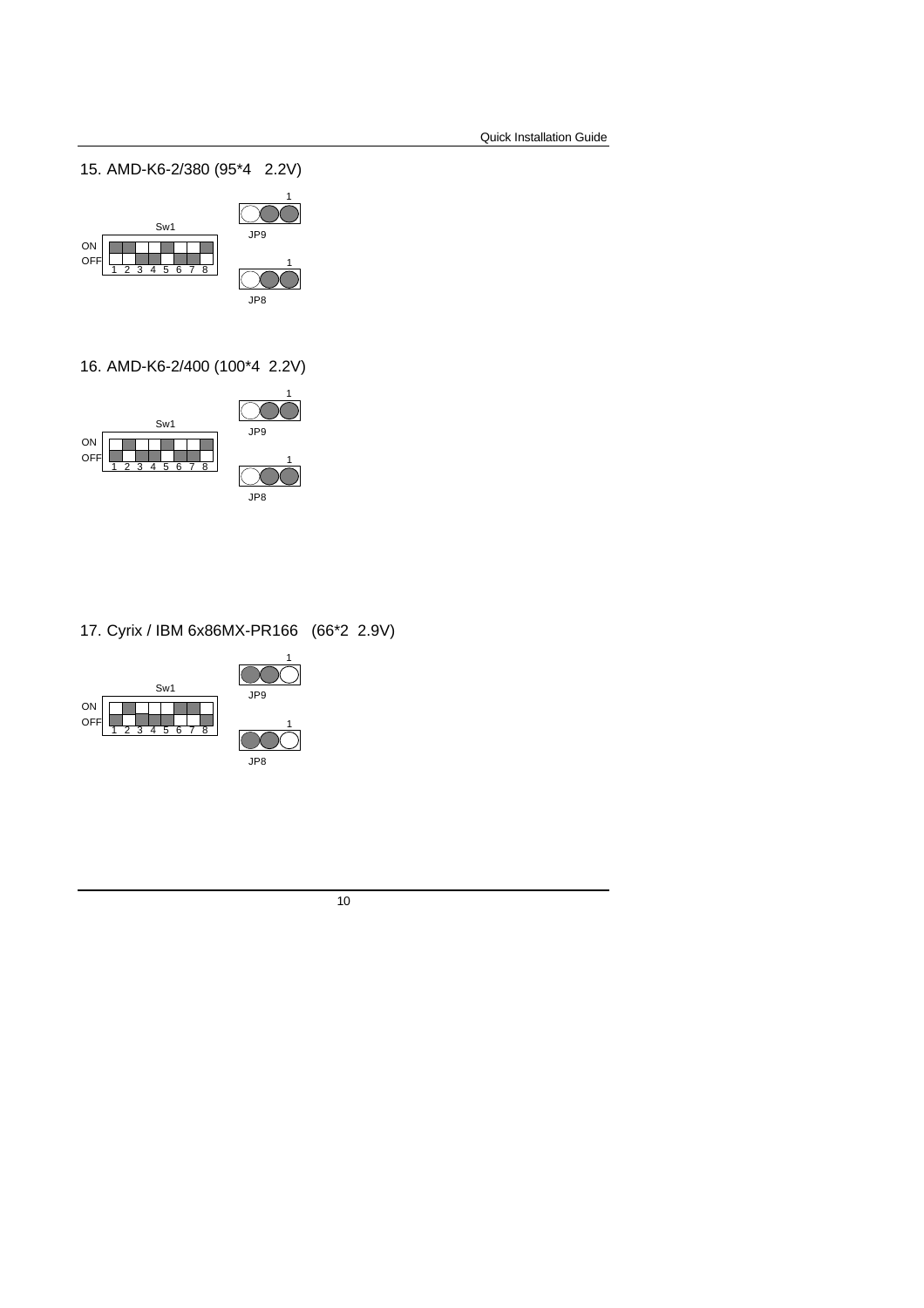15. AMD-K6-2/380 (95\*4 2.2V)



16. AMD-K6-2/400 (100\*4 2.2V)



17. Cyrix / IBM 6x86MX-PR166 (66\*2 2.9V)

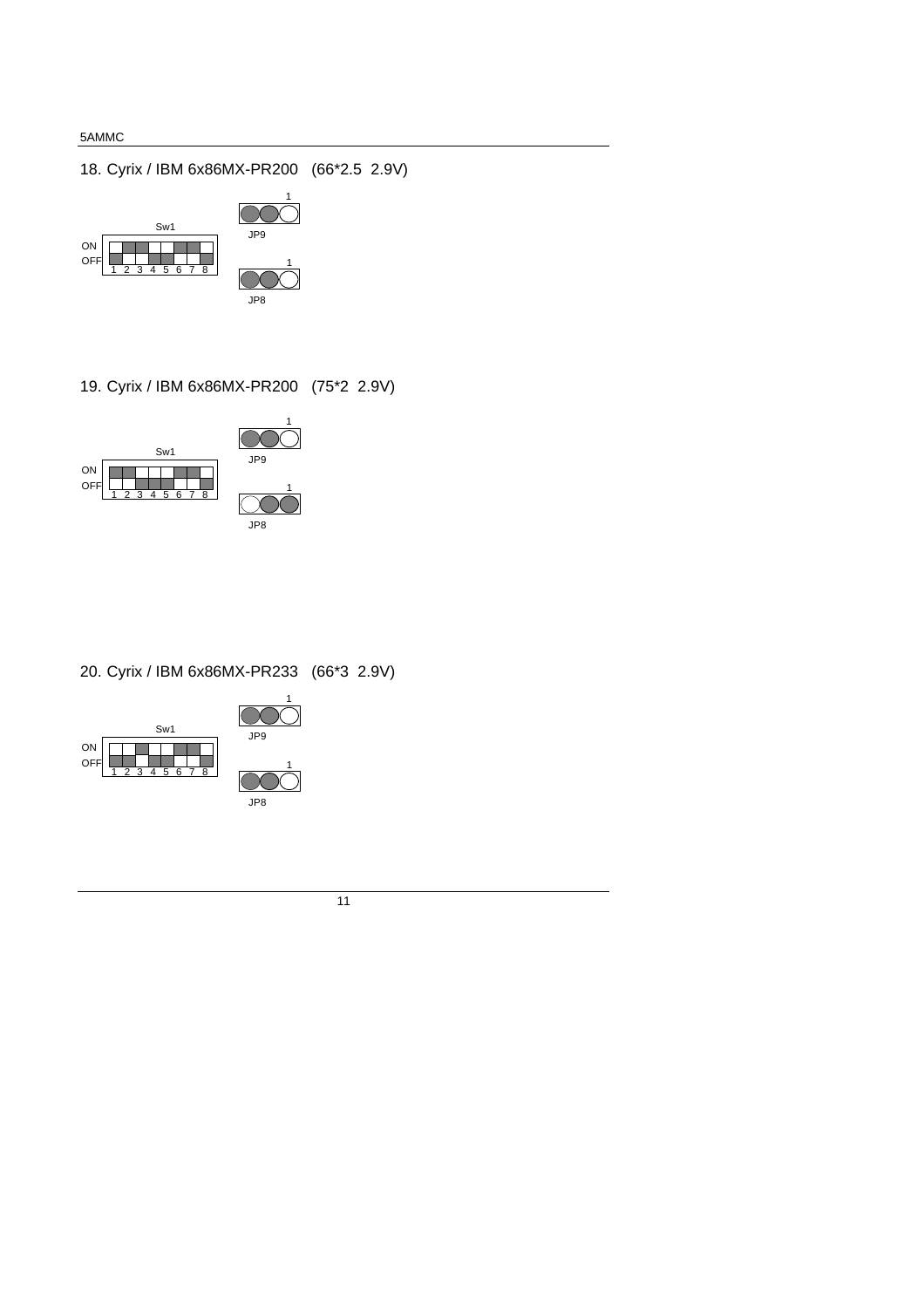18. Cyrix / IBM 6x86MX-PR200 (66\*2.5 2.9V)



19. Cyrix / IBM 6x86MX-PR200 (75\*2 2.9V)



20. Cyrix / IBM 6x86MX-PR233 (66\*3 2.9V)



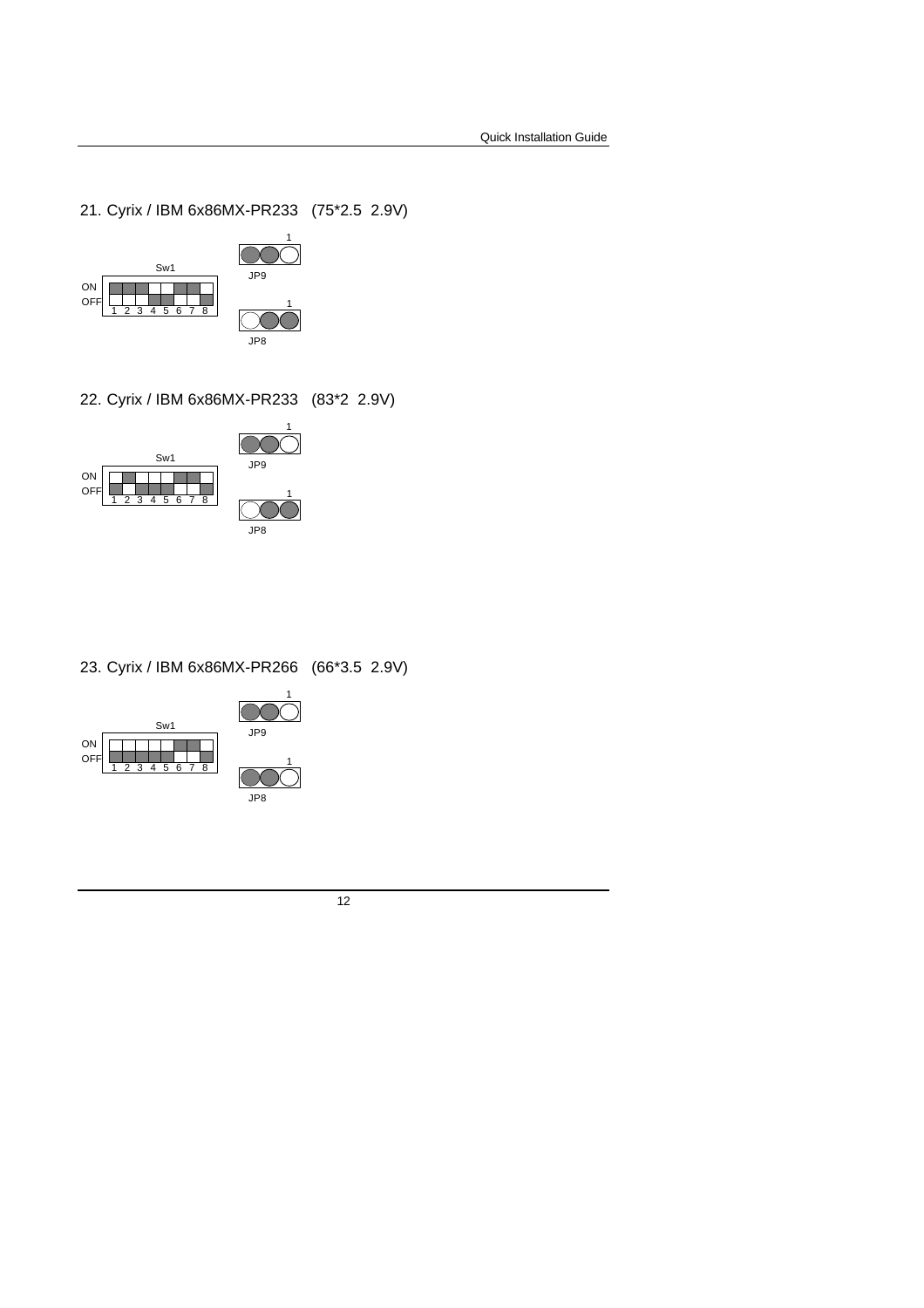21. Cyrix / IBM 6x86MX-PR233 (75\*2.5 2.9V)



22. Cyrix / IBM 6x86MX-PR233 (83\*2 2.9V)



23. Cyrix / IBM 6x86MX-PR266 (66\*3.5 2.9V)



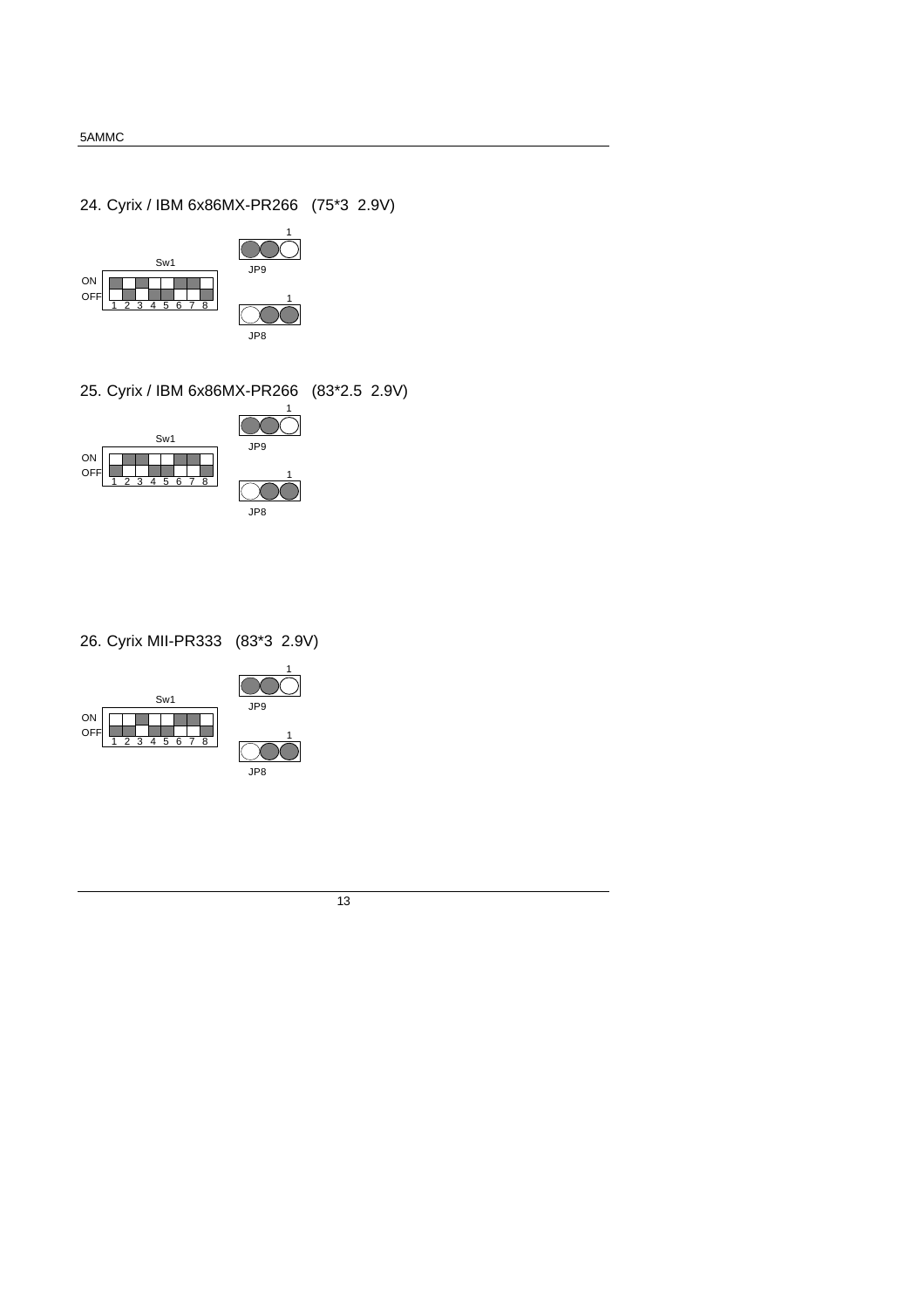24. Cyrix / IBM 6x86MX-PR266 (75\*3 2.9V)



25. Cyrix / IBM 6x86MX-PR266 (83\*2.5 2.9V)



26. Cyrix MII-PR333 (83\*3 2.9V)





1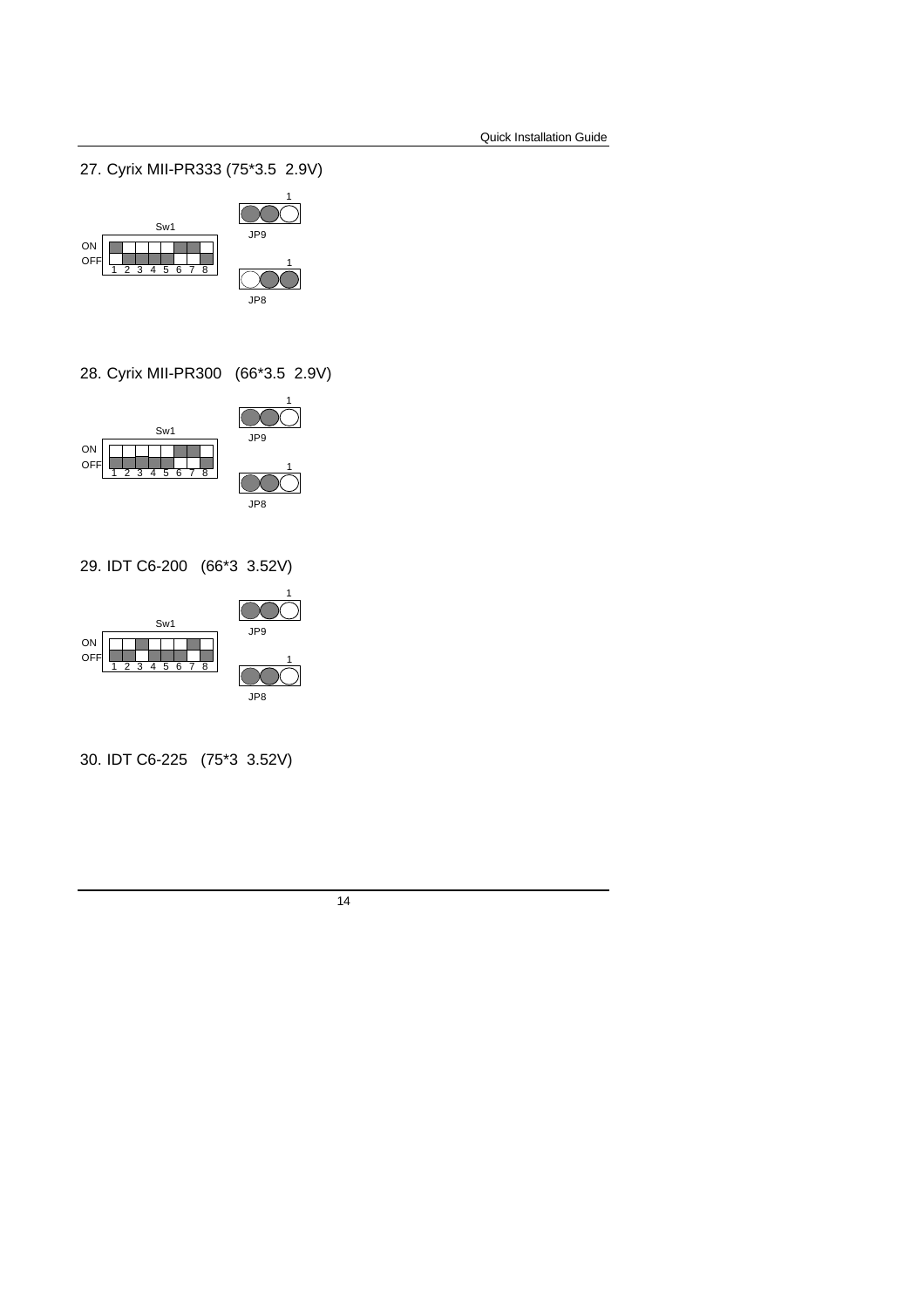27. Cyrix MII-PR333 (75\*3.5 2.9V)



28. Cyrix MII-PR300 (66\*3.5 2.9V)



29. IDT C6-200 (66\*3 3.52V)



30. IDT C6-225 (75\*3 3.52V)

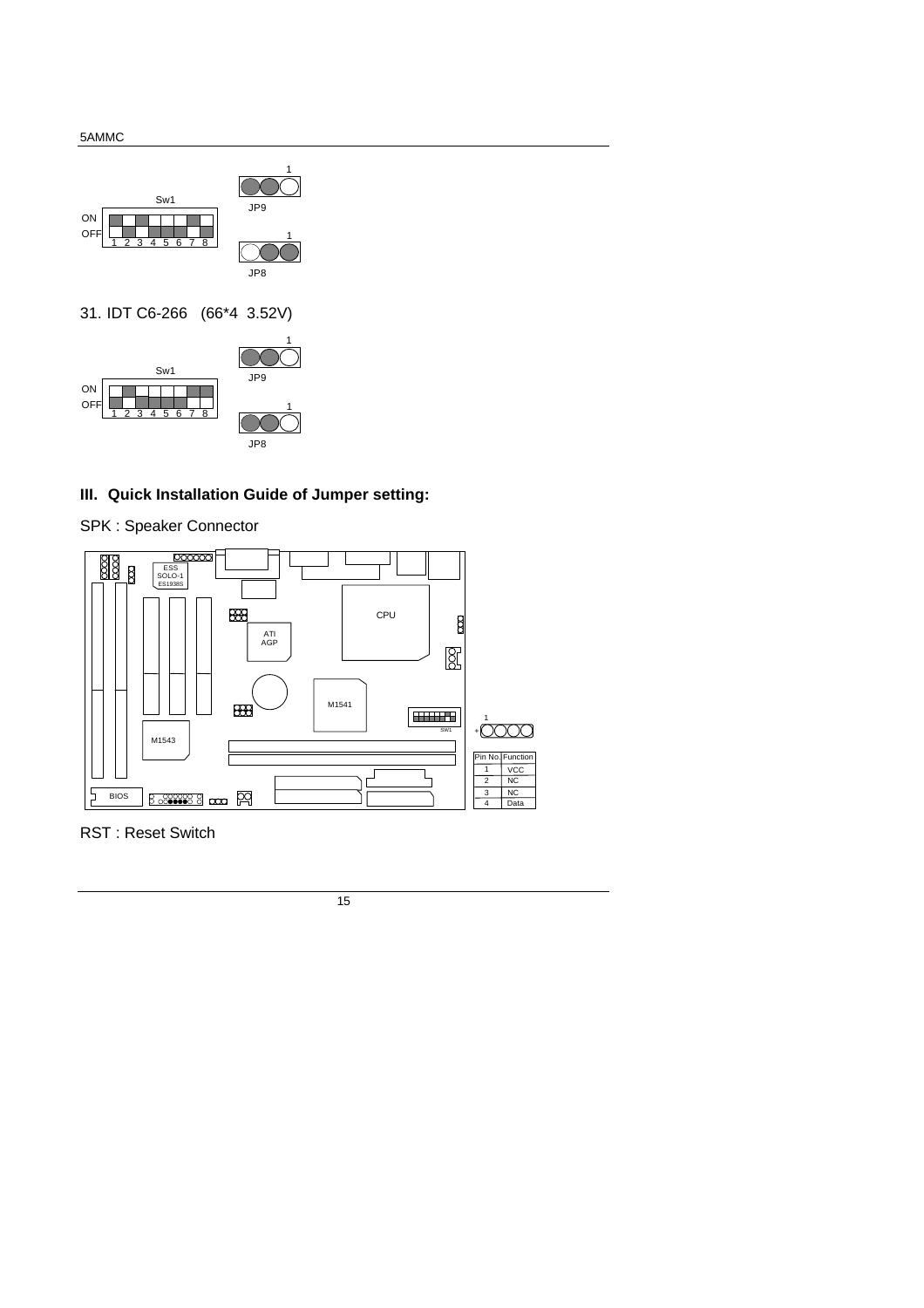OFF





### **III. Quick Installation Guide of Jumper setting:**

SPK : Speaker Connector

1 2 3 4 5 6 7 8



RST : Reset Switch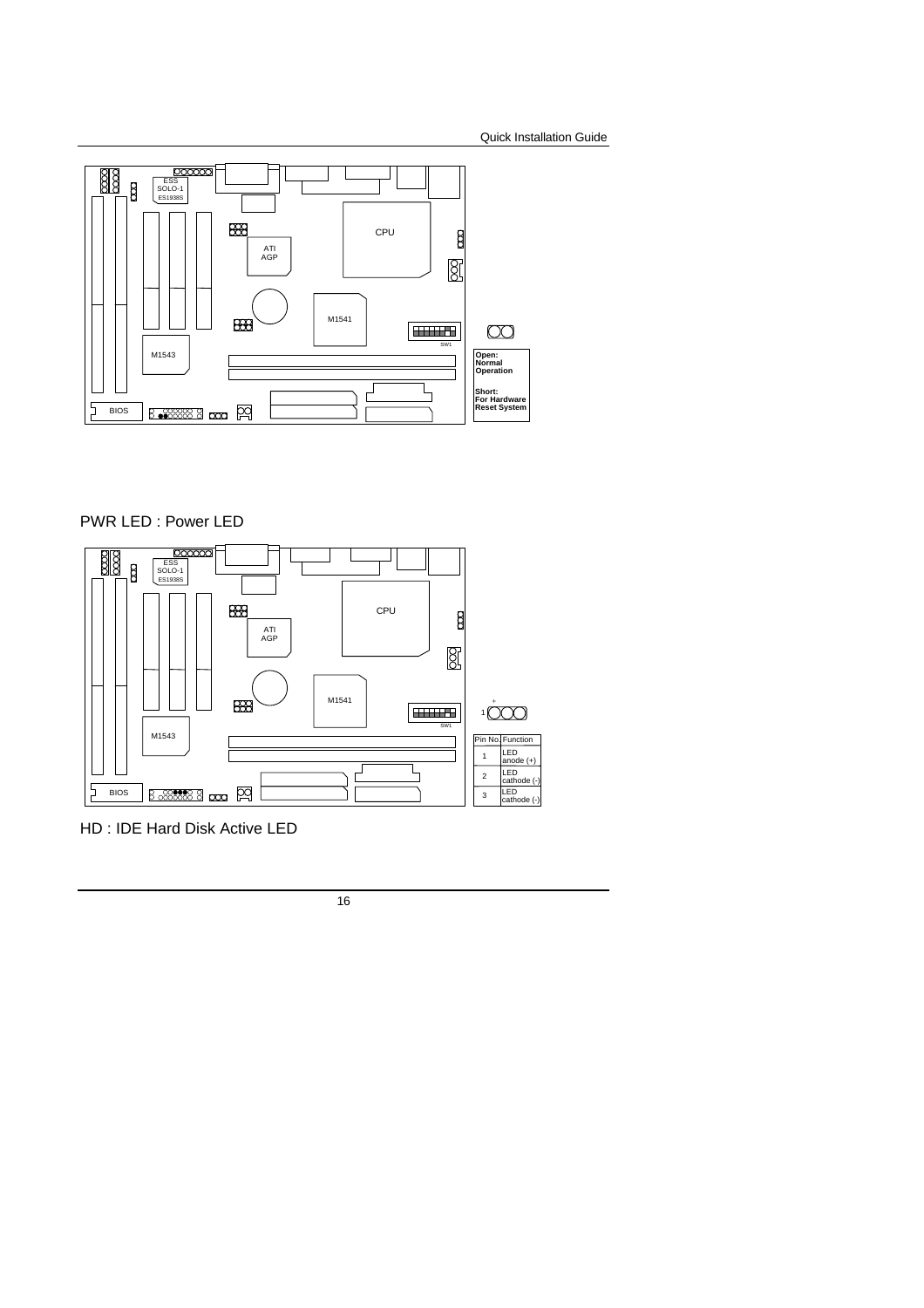

### PWR LED : Power LED



HD : IDE Hard Disk Active LED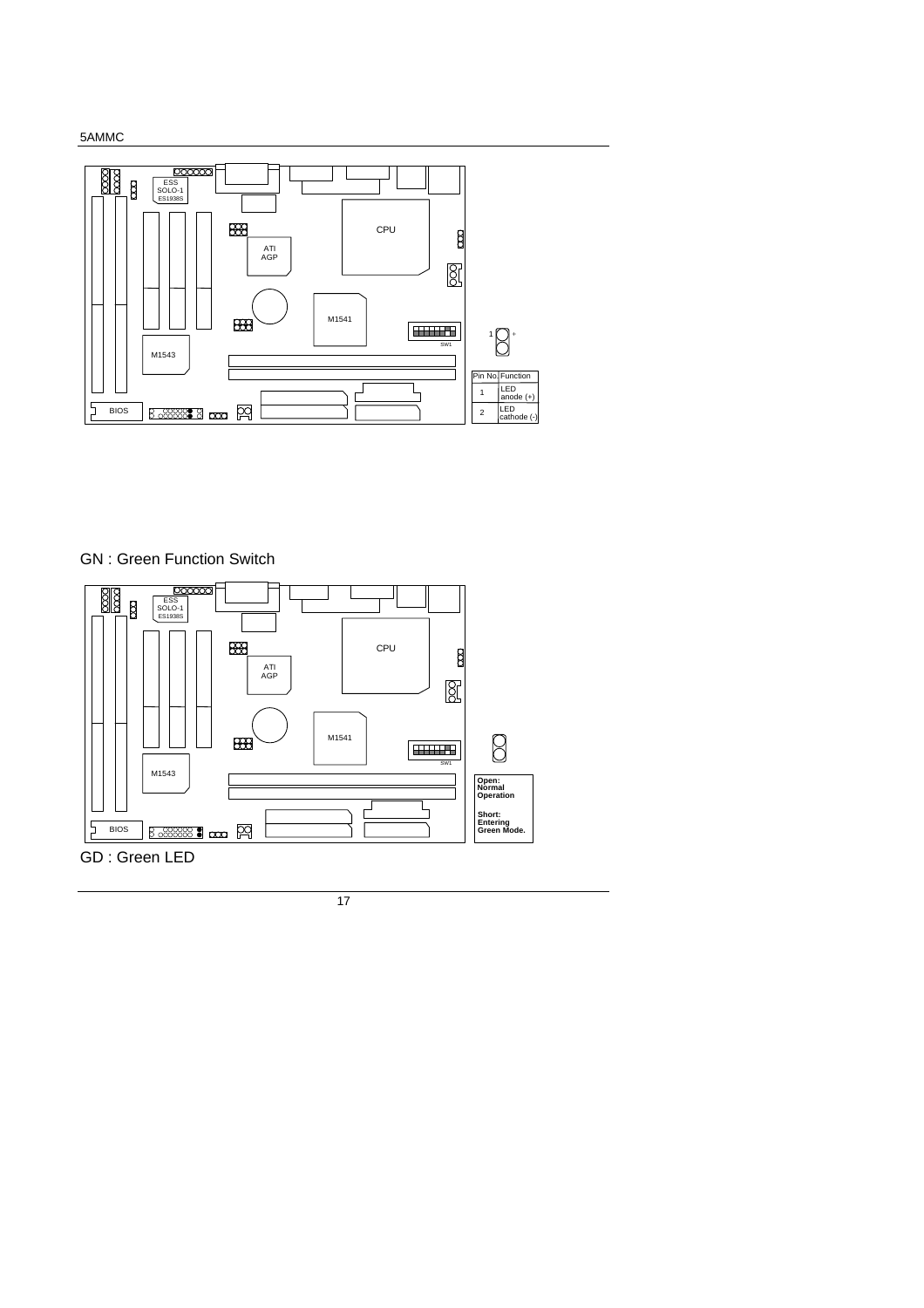



GN : Green Function Switch

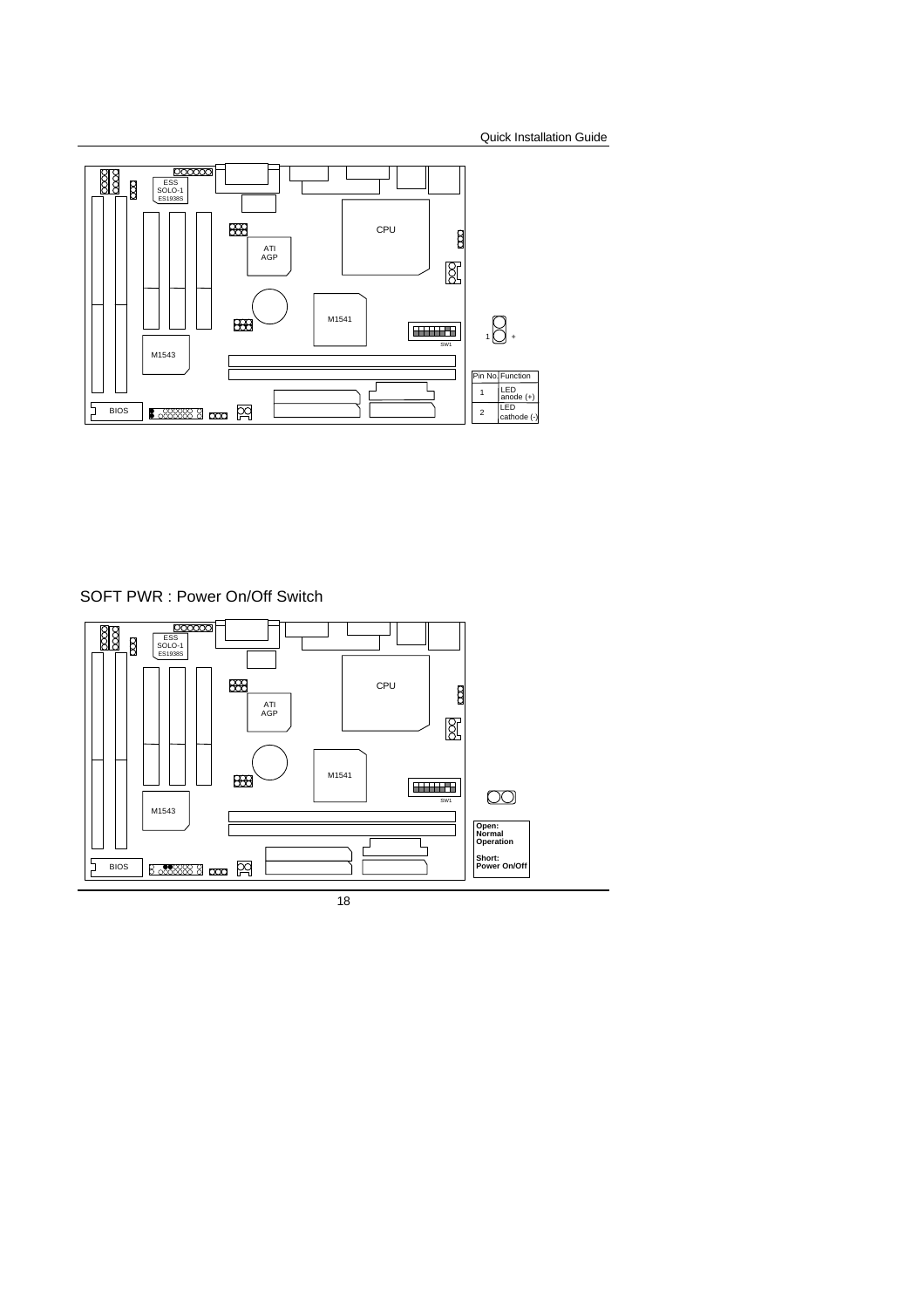

SOFT PWR : Power On/Off Switch

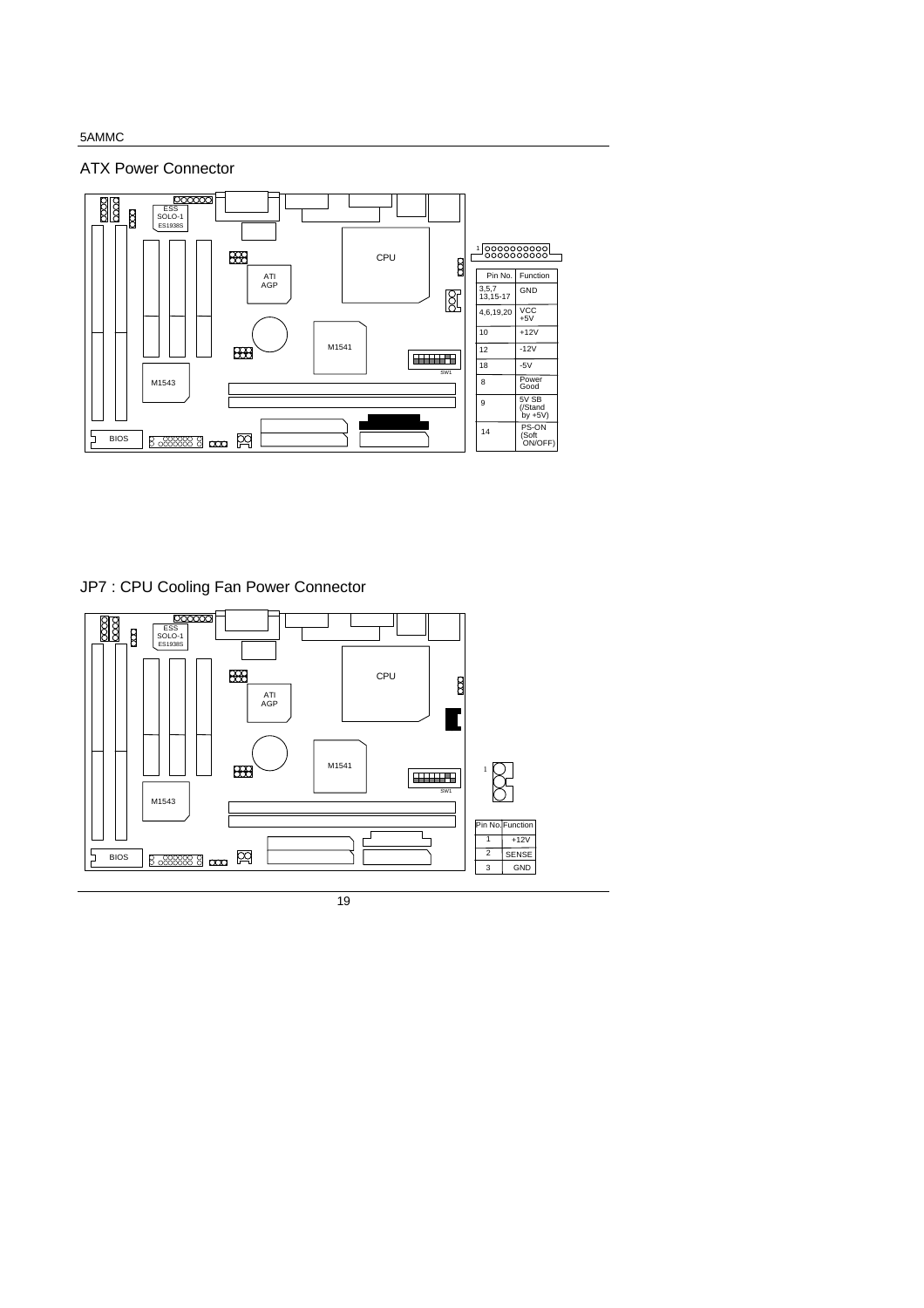ATX Power Connector



JP7 : CPU Cooling Fan Power Connector

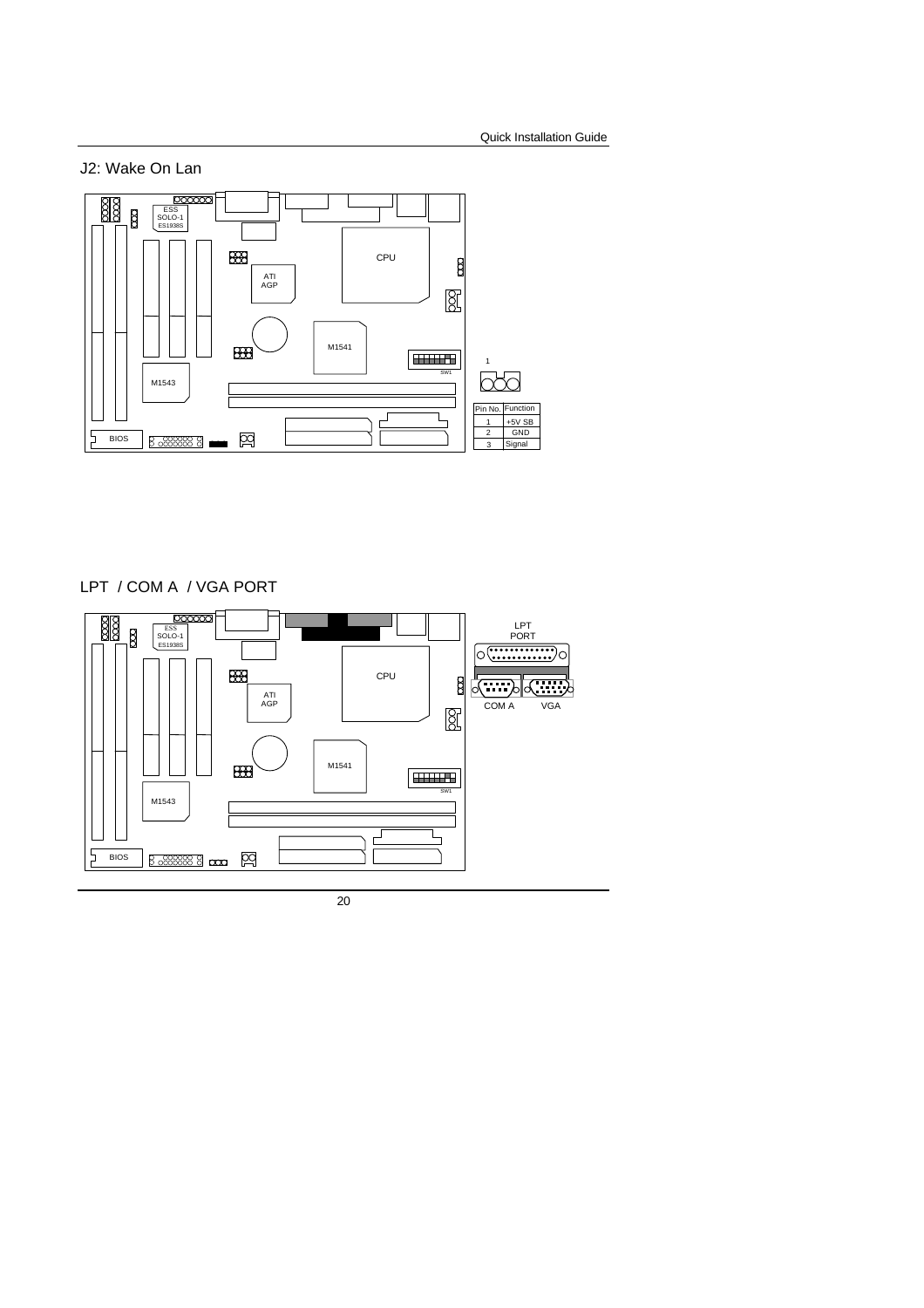J2: Wake On Lan



LPT / COM A / VGA PORT

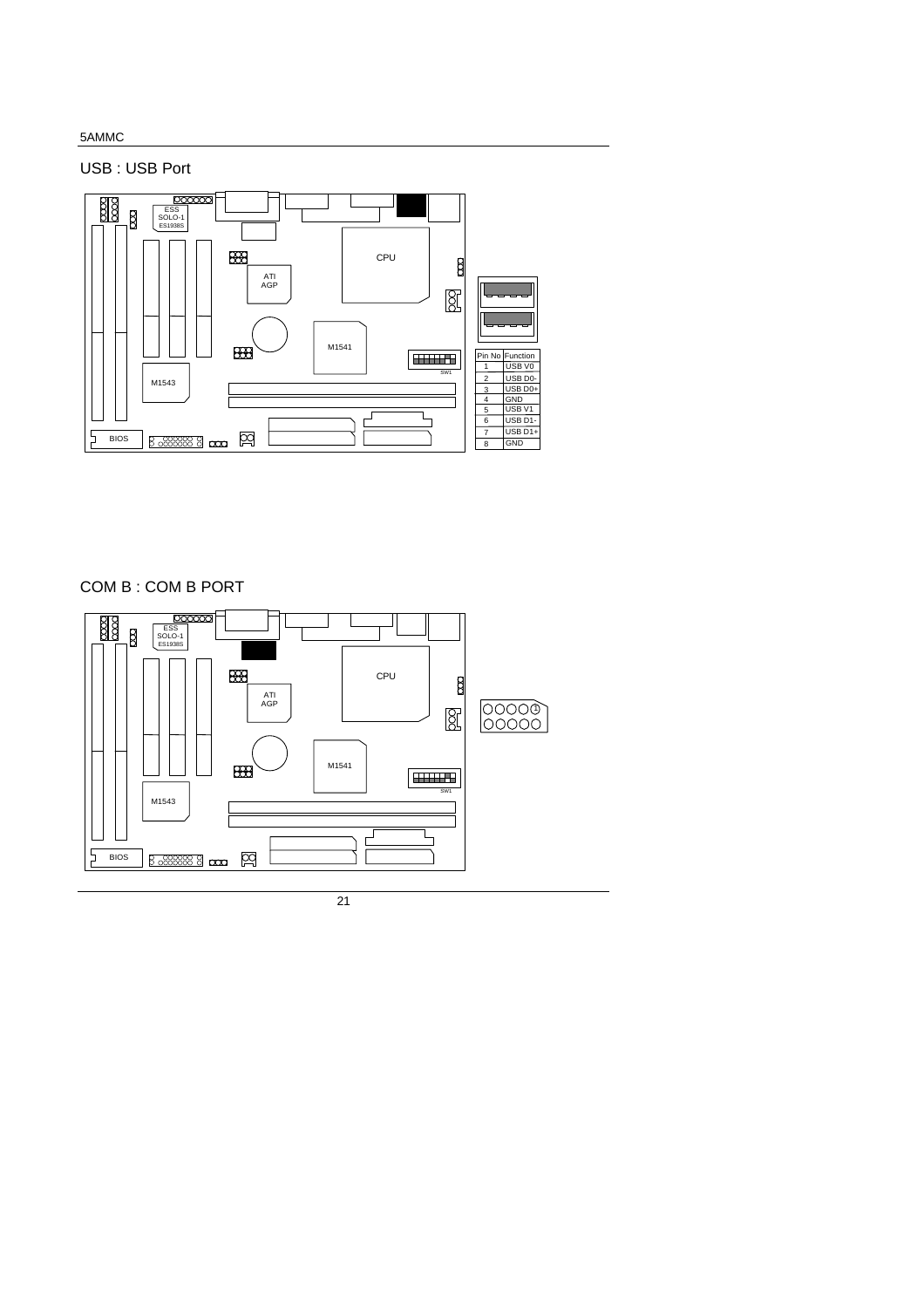USB : USB Port



COM B : COM B PORT

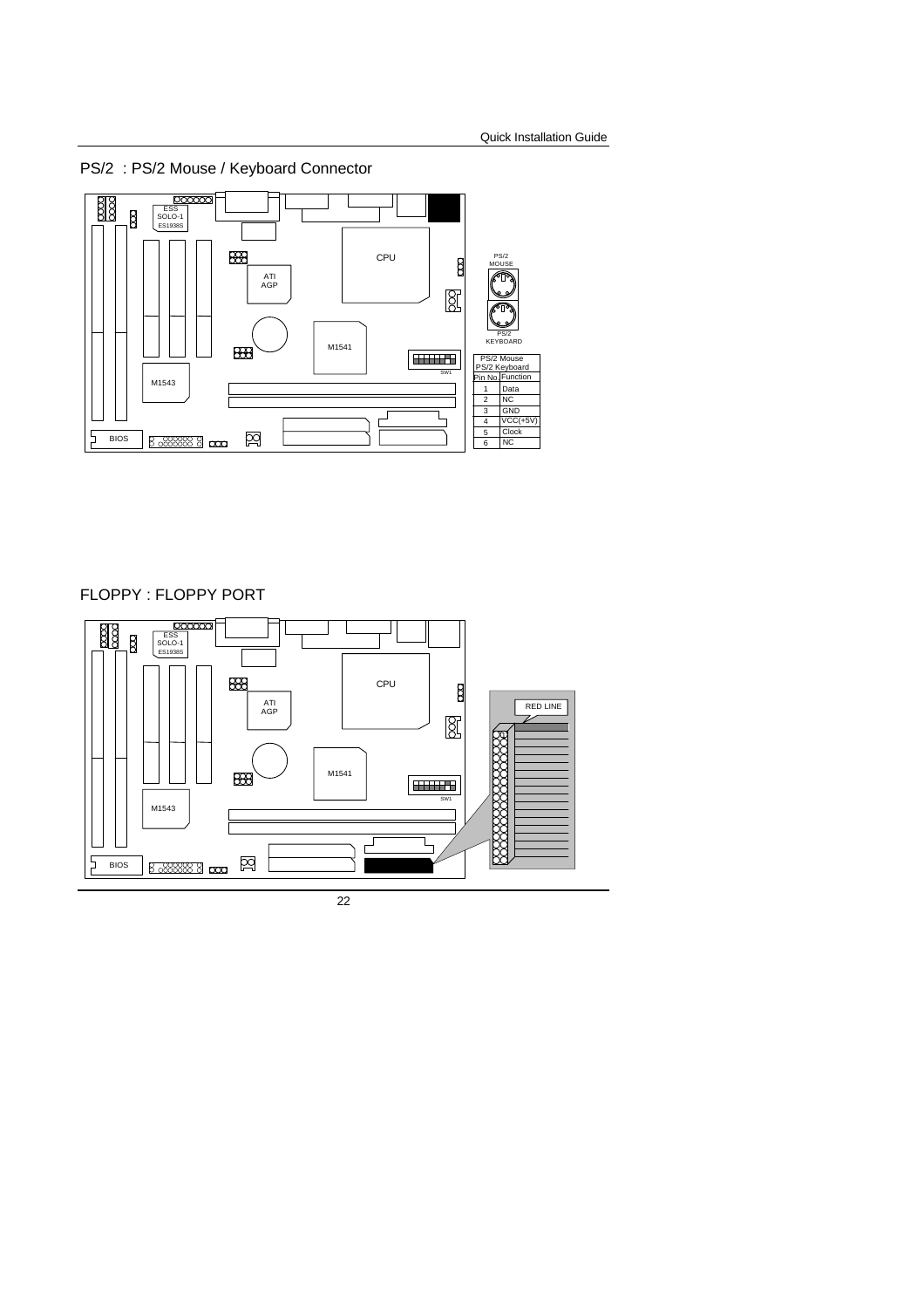

FLOPPY : FLOPPY PORT

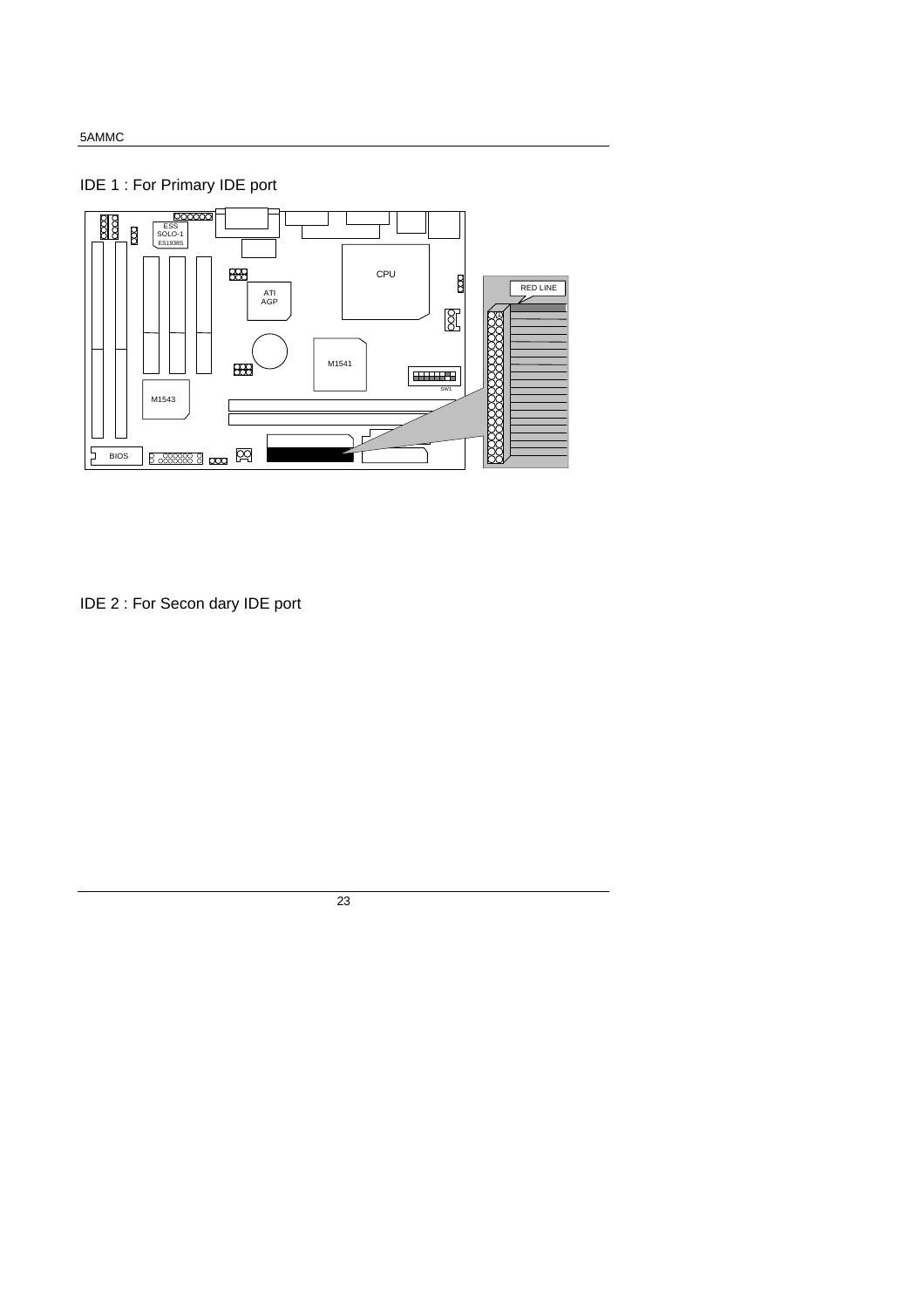### IDE 1 : For Primary IDE port



IDE 2 : For Secon dary IDE port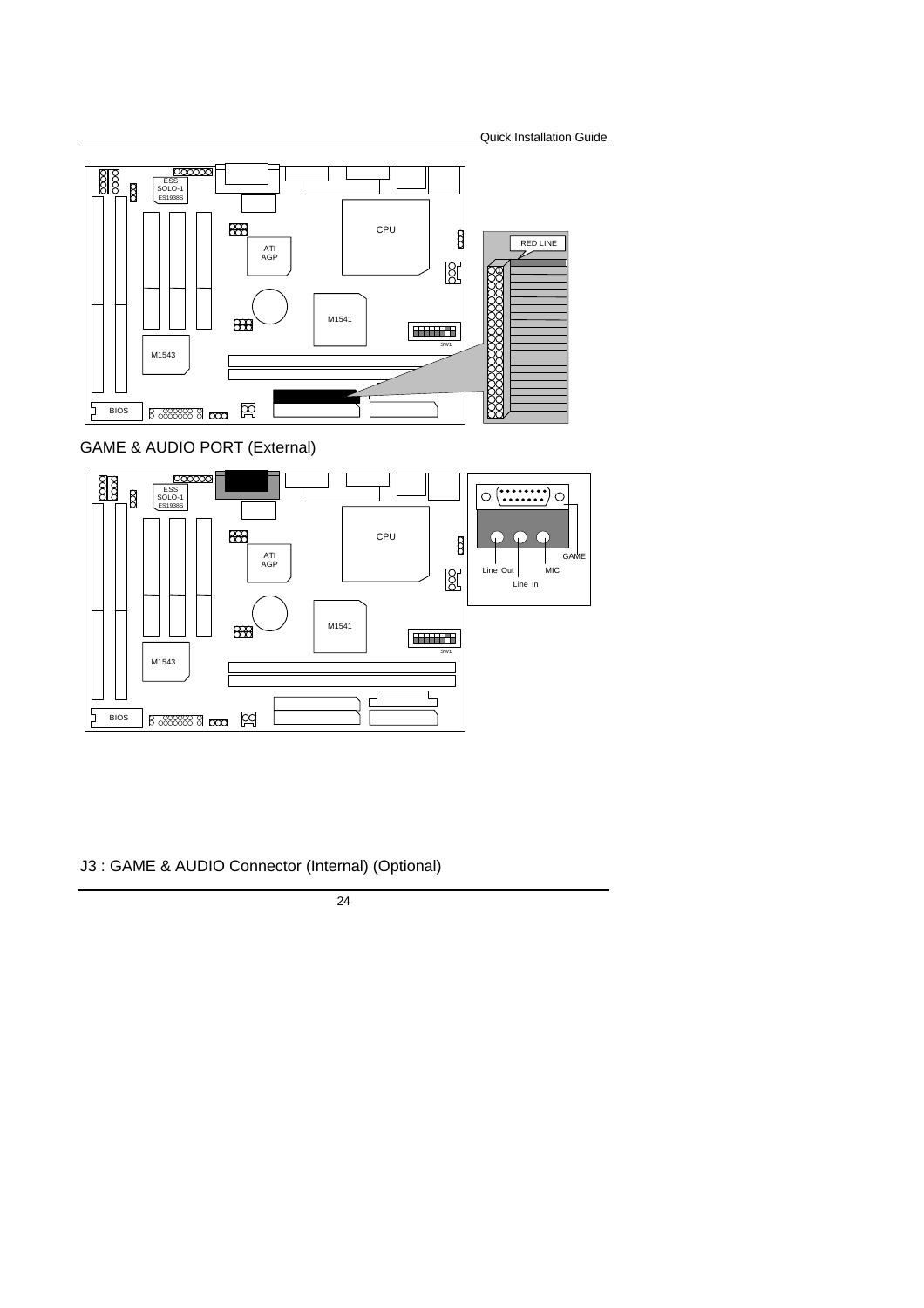

### GAME & AUDIO PORT (External)



J3 : GAME & AUDIO Connector (Internal) (Optional)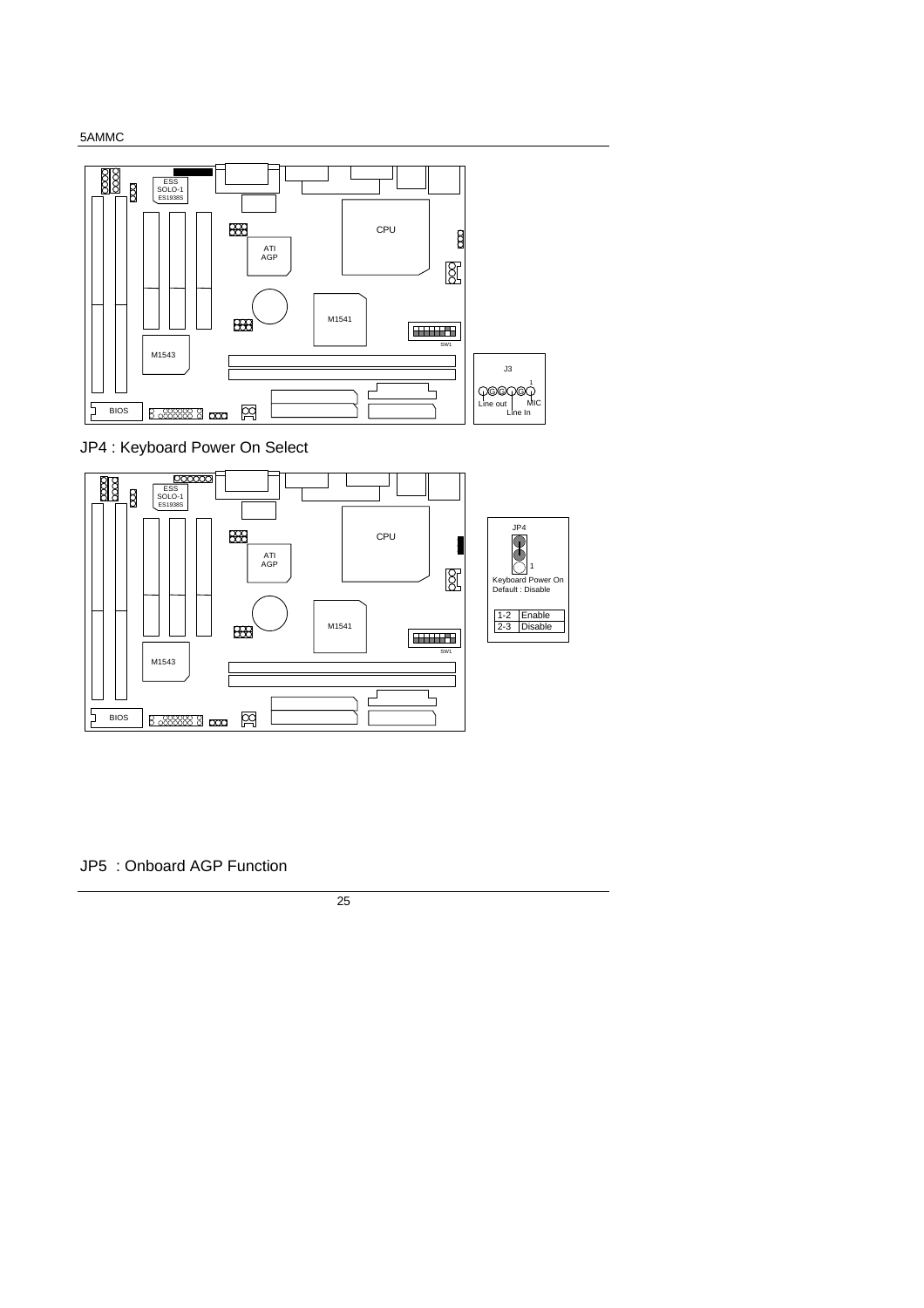

JP4 : Keyboard Power On Select



JP5 : Onboard AGP Function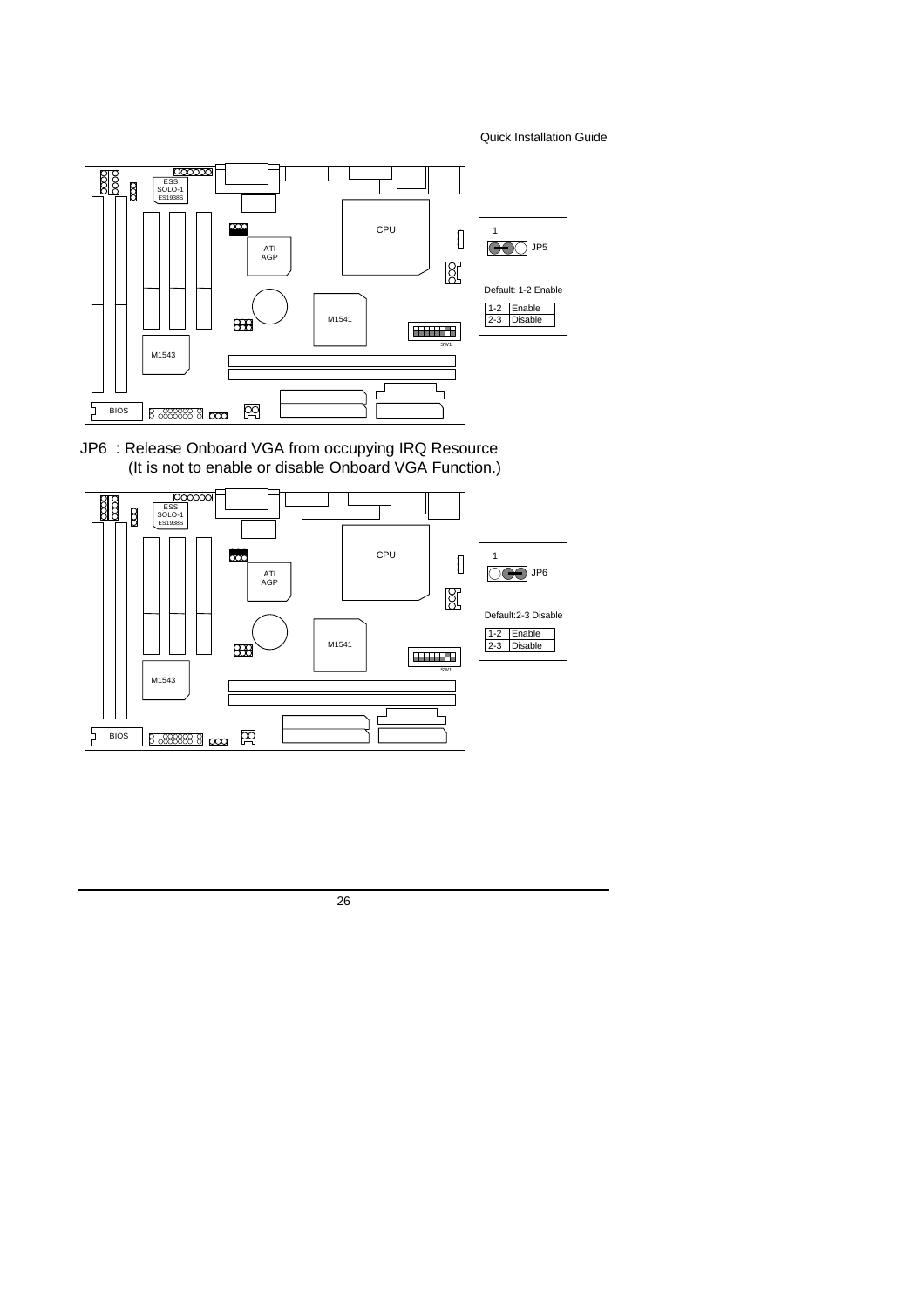

JP6 : Release Onboard VGA from occupying IRQ Resource (It is not to enable or disable Onboard VGA Function.)

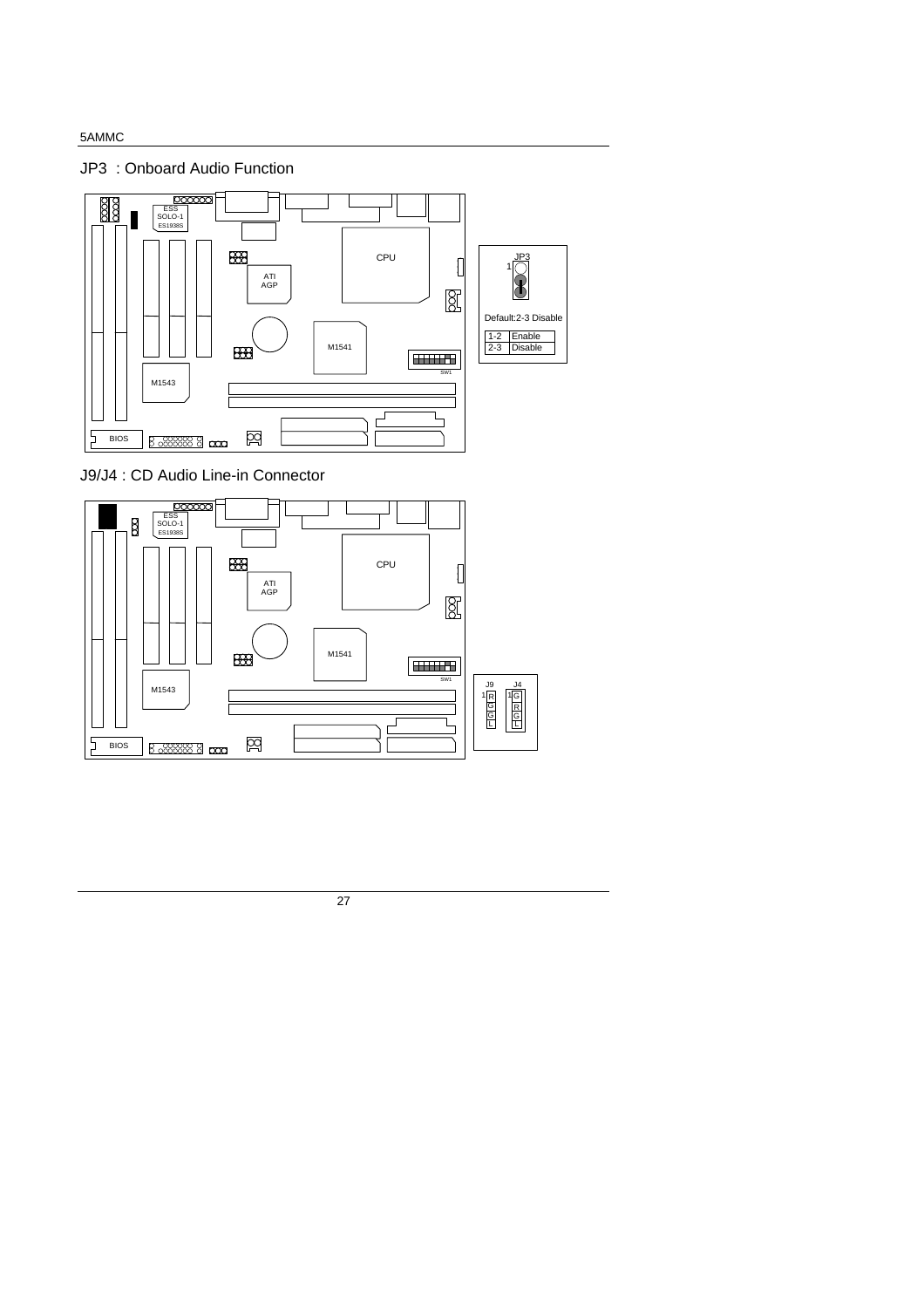JP3 : Onboard Audio Function



J9/J4 : CD Audio Line-in Connector



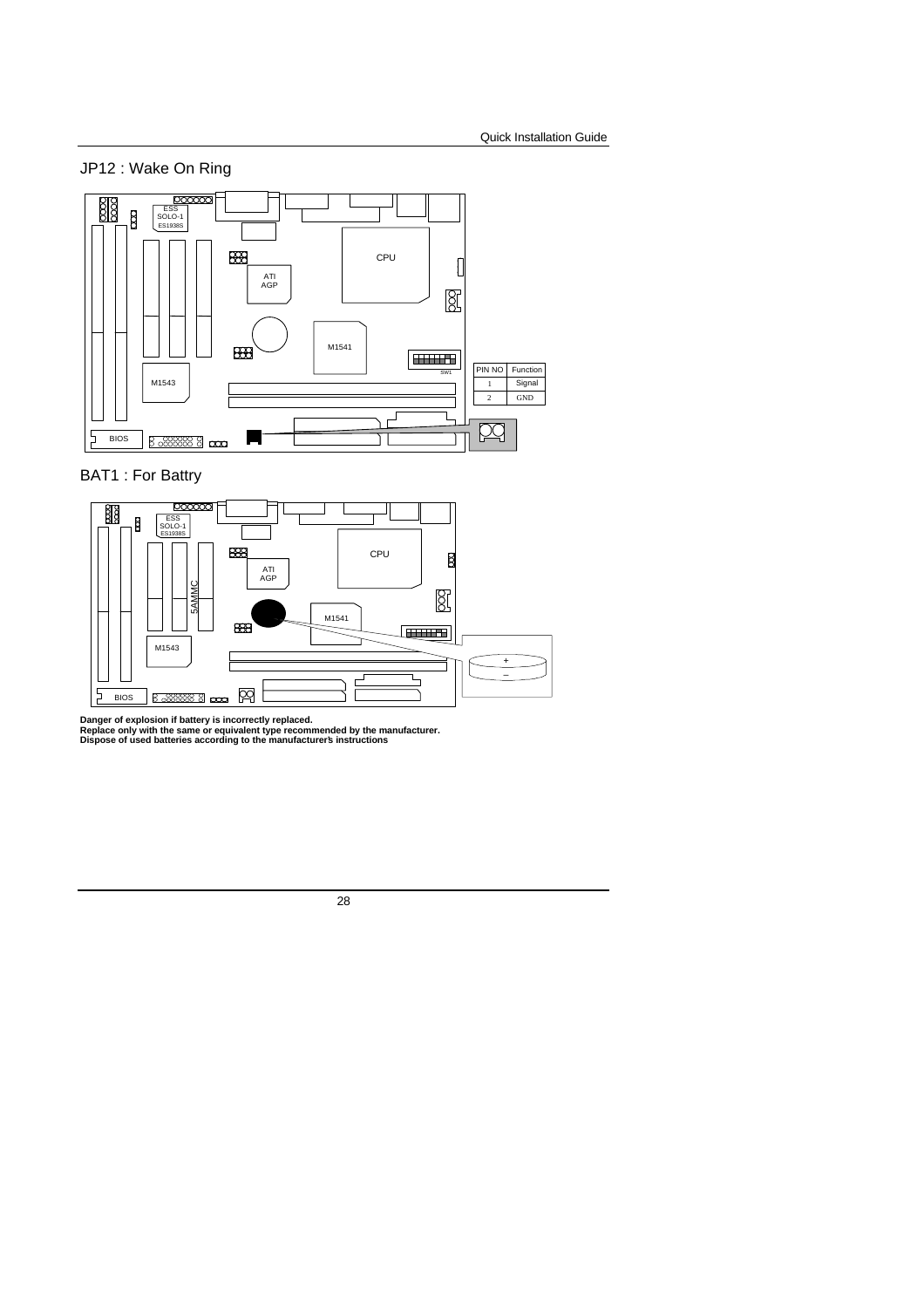



BAT1 : For Battry



Danger of explosion if battery is incorrectly replaced.<br>Replace only with the same or equivalent type recommended by the manufacturer.<br>Dispose of used batteries according to the manufacturer's instructions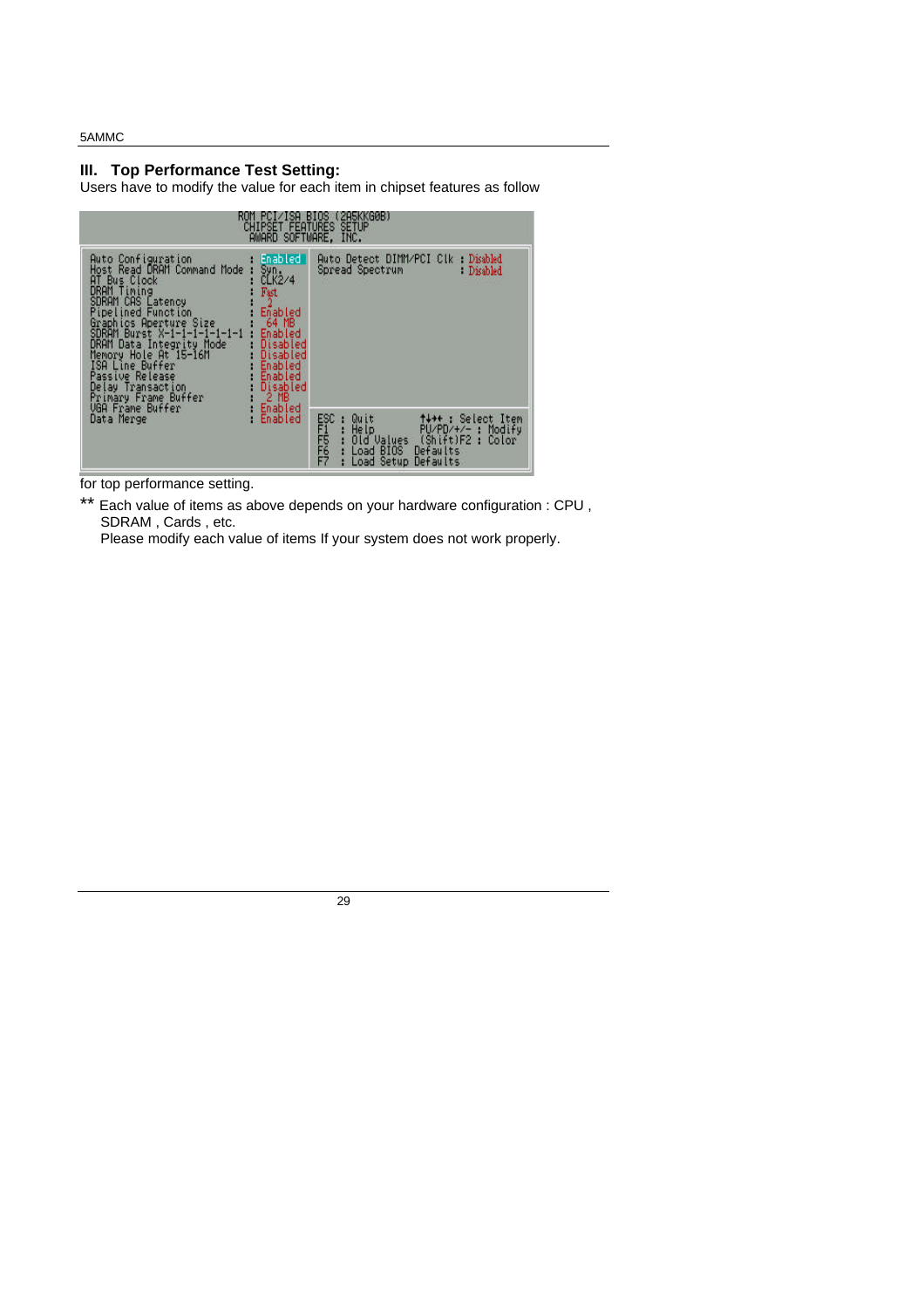### **III. Top Performance Test Setting:**

Users have to modify the value for each item in chipset features as follow

| ( 2ньккоив)<br><b>BIUS</b><br><b>CHIPSET FEATURES SETUP</b><br>AWARD SOFTWARE, INC.                                                                                                                                                                                                                                                                                                                                                                                                                                    |                                                                                                                                                                          |  |  |  |  |  |  |  |
|------------------------------------------------------------------------------------------------------------------------------------------------------------------------------------------------------------------------------------------------------------------------------------------------------------------------------------------------------------------------------------------------------------------------------------------------------------------------------------------------------------------------|--------------------------------------------------------------------------------------------------------------------------------------------------------------------------|--|--|--|--|--|--|--|
| Enabled<br>Auto Configuration<br>Host Read DRAM Command Mode<br>Syn.<br>CLK2/4<br>AT Bus Clock<br>DRAM Timing<br>Fast<br><b>SDRAM CAS Latency</b><br>2<br>Pipelined Function<br>Enabled<br>Graphics Aperture Size<br>SDRAM Burst X-1-1-1-1-1-1-1<br>64 MB<br>Enabled<br>DRAM Data Integrity Mode<br>Disabled<br>Memory Hole At 15-16M<br>Disabled<br>Enabled<br>ISA Line Buffer<br>Passive Release<br>Enabled<br>Disabled<br>Delay Transaction<br>$2$ MB<br>Primary Frame Buffer<br><b>VGA Frame Buffer</b><br>Enabled | Auto Detect DIMM/PCI Clk Disabled<br>Spread Spectrum Committee<br><b>Disabled</b>                                                                                        |  |  |  |  |  |  |  |
| Data Merge<br>Enabled                                                                                                                                                                                                                                                                                                                                                                                                                                                                                                  | ESC<br>FFFFFF<br>FFF<br>++++ : Select Item<br>Quit<br>Help<br>Old Values<br>PU/PD/+/- : Modify<br>(Shift)F2:<br>Color<br>Defaults<br>Load BIOS<br>Load Setup<br>Defaults |  |  |  |  |  |  |  |

for top performance setting.

\*\* Each value of items as above depends on your hardware configuration : CPU, SDRAM , Cards , etc.

Please modify each value of items If your system does not work properly.